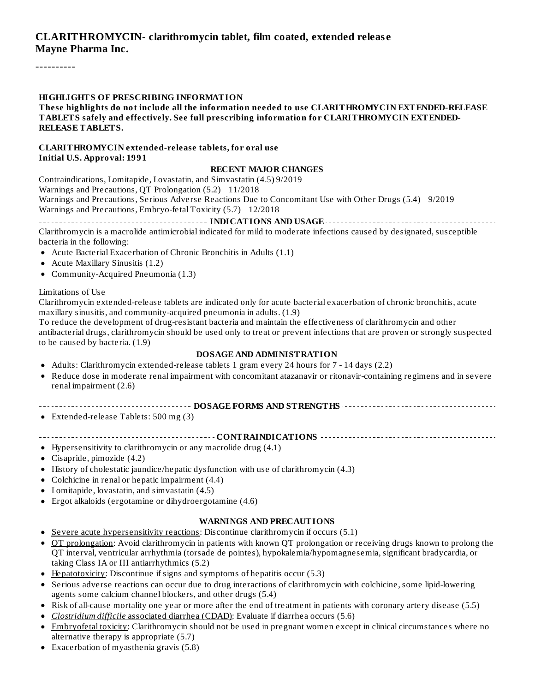### **CLARITHROMYCIN- clarithromycin tablet, film coated, extended releas e Mayne Pharma Inc.**

----------

#### **HIGHLIGHTS OF PRESCRIBING INFORMATION**

**These highlights do not include all the information needed to use CLARITHROMYCIN EXTENDED-RELEASE TABLETS safely and effectively. See full prescribing information for CLARITHROMYCIN EXTENDED-RELEASE TABLETS.**

# **CLARITHROMYCIN extended-release tablets, for oral use**

**Initial U.S. Approval: 1991 RECENT MAJOR CHANGES** Contraindications, Lomitapide, Lovastatin, and Simvastatin (4.5) 9/2019 Warnings and Precautions, QT Prolongation (5.2) 11/2018 Warnings and Precautions, Serious Adverse Reactions Due to Concomitant Use with Other Drugs (5.4) 9/2019 Warnings and Precautions, Embryo-fetal Toxicity (5.7) 12/2018 **INDICATIONS AND USAGE** Clarithromycin is a macrolide antimicrobial indicated for mild to moderate infections caused by designated, susceptible bacteria in the following: Acute Bacterial Exacerbation of Chronic Bronchitis in Adults (1.1) • Acute Maxillary Sinusitis (1.2) Community-Acquired Pneumonia (1.3) Limitations of Use Clarithromycin extended-release tablets are indicated only for acute bacterial exacerbation of chronic bronchitis, acute maxillary sinusitis, and community-acquired pneumonia in adults. (1.9) To reduce the development of drug-resistant bacteria and maintain the effectiveness of clarithromycin and other antibacterial drugs, clarithromycin should be used only to treat or prevent infections that are proven or strongly suspected to be caused by bacteria. (1.9) **DOSAGE AND ADMINISTRATION** Adults: Clarithromycin extended-release tablets 1 gram every 24 hours for 7 - 14 days (2.2) Reduce dose in moderate renal impairment with concomitant atazanavir or ritonavir-containing regimens and in severe  $\bullet$ renal impairment (2.6) **DOSAGE FORMS AND STRENGTHS** Extended-release Tablets: 500 mg (3) **CONTRAINDICATIONS** Hypersensitivity to clarithromycin or any macrolide drug (4.1) Cisapride, pimozide (4.2) History of cholestatic jaundice/hepatic dysfunction with use of clarithromycin (4.3) • Colchicine in renal or hepatic impairment (4.4) Lomitapide, lovastatin, and simvastatin (4.5) Ergot alkaloids (ergotamine or dihydroergotamine (4.6) **WARNINGS AND PRECAUTIONS**

- Severe acute hypersensitivity reactions: Discontinue clarithromycin if occurs (5.1)
- QT prolongation: Avoid clarithromycin in patients with known QT prolongation or receiving drugs known to prolong the QT interval, ventricular arrhythmia (torsade de pointes), hypokalemia/hypomagnesemia, significant bradycardia, or taking Class IA or III antiarrhythmics (5.2)
- $\bullet$  Hepatotoxicity: Discontinue if signs and symptoms of hepatitis occur (5.3)
- Serious adverse reactions can occur due to drug interactions of clarithromycin with colchicine, some lipid-lowering agents some calcium channel blockers, and other drugs (5.4)
- Risk of all-cause mortality one year or more after the end of treatment in patients with coronary artery disease (5.5) *Clostridium difficile* associated diarrhea (CDAD): Evaluate if diarrhea occurs (5.6)  $\bullet$
- Embryofetal toxicity: Clarithromycin should not be used in pregnant women except in clinical circumstances where no  $\bullet$ alternative therapy is appropriate (5.7)
- Exacerbation of myasthenia gravis (5.8) $\bullet$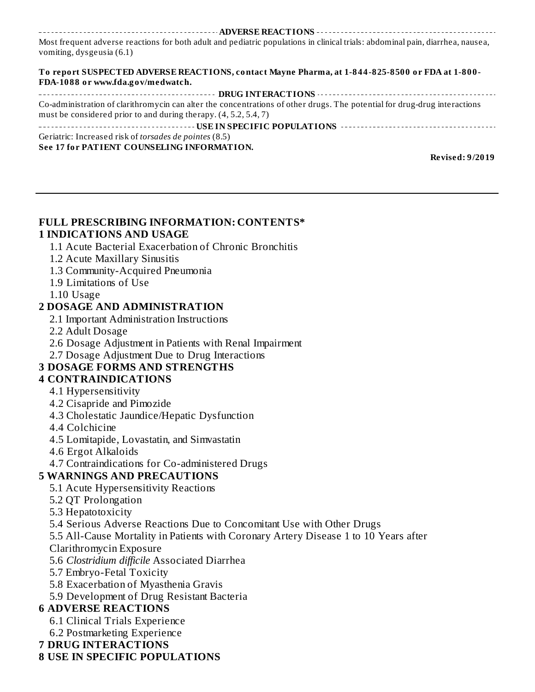**ADVERSE REACTIONS** Most frequent adverse reactions for both adult and pediatric populations in clinical trials: abdominal pain, diarrhea, nausea, vomiting, dysgeusia (6.1)

**To report SUSPECTED ADVERSE REACTIONS, contact Mayne Pharma, at 1-844-825-8500 or FDA at 1-800- FDA-1088 or www.fda.gov/medwatch.**

| Co-administration of clarithromycin can alter the concentrations of other drugs. The potential for drug-drug interactions |
|---------------------------------------------------------------------------------------------------------------------------|
| must be considered prior to and during therapy. (4, 5.2, 5.4, 7)                                                          |
|                                                                                                                           |
| Geriatric: Increased risk of <i>torsades de pointes</i> (8.5)                                                             |
| See 17 for PATIENT COUNSELING INFORMATION.                                                                                |

**Revised: 9/2019**

#### **FULL PRESCRIBING INFORMATION: CONTENTS\* 1 INDICATIONS AND USAGE**

- 1.1 Acute Bacterial Exacerbation of Chronic Bronchitis
- 1.2 Acute Maxillary Sinusitis
- 1.3 Community-Acquired Pneumonia
- 1.9 Limitations of Use
- 1.10 Usage

### **2 DOSAGE AND ADMINISTRATION**

- 2.1 Important Administration Instructions
- 2.2 Adult Dosage
- 2.6 Dosage Adjustment in Patients with Renal Impairment
- 2.7 Dosage Adjustment Due to Drug Interactions

# **3 DOSAGE FORMS AND STRENGTHS**

# **4 CONTRAINDICATIONS**

- 4.1 Hypersensitivity
- 4.2 Cisapride and Pimozide
- 4.3 Cholestatic Jaundice/Hepatic Dysfunction
- 4.4 Colchicine
- 4.5 Lomitapide, Lovastatin, and Simvastatin
- 4.6 Ergot Alkaloids
- 4.7 Contraindications for Co-administered Drugs

# **5 WARNINGS AND PRECAUTIONS**

- 5.1 Acute Hypersensitivity Reactions
- 5.2 QT Prolongation
- 5.3 Hepatotoxicity
- 5.4 Serious Adverse Reactions Due to Concomitant Use with Other Drugs
- 5.5 All-Cause Mortality in Patients with Coronary Artery Disease 1 to 10 Years after
- Clarithromycin Exposure
- 5.6 *Clostridium difficile* Associated Diarrhea
- 5.7 Embryo-Fetal Toxicity
- 5.8 Exacerbation of Myasthenia Gravis
- 5.9 Development of Drug Resistant Bacteria

# **6 ADVERSE REACTIONS**

- 6.1 Clinical Trials Experience
- 6.2 Postmarketing Experience

### **7 DRUG INTERACTIONS**

### **8 USE IN SPECIFIC POPULATIONS**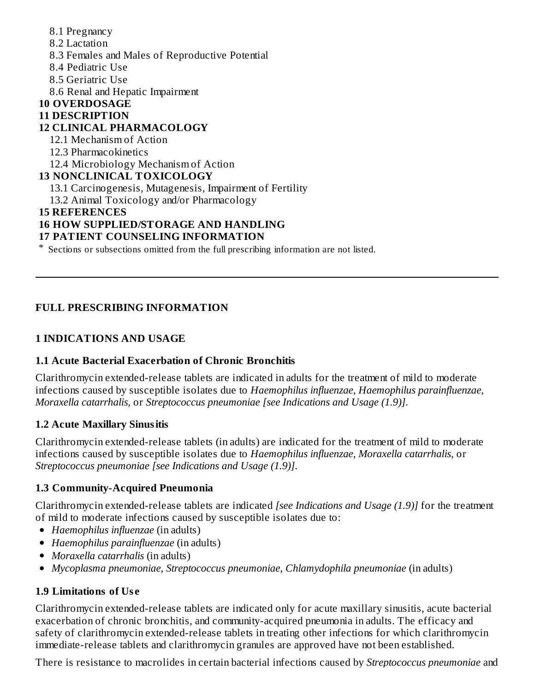- 8.1 Pregnancy
- 8.2 Lactation
- 8.3 Females and Males of Reproductive Potential
- 8.4 Pediatric Use
- 8.5 Geriatric Use
- 8.6 Renal and Hepatic Impairment

# **10 OVERDOSAGE**

### **11 DESCRIPTION**

# **12 CLINICAL PHARMACOLOGY**

- 12.1 Mechanism of Action
- 12.3 Pharmacokinetics
- 12.4 Microbiology Mechanism of Action

# **13 NONCLINICAL TOXICOLOGY**

13.1 Carcinogenesis, Mutagenesis, Impairment of Fertility

13.2 Animal Toxicology and/or Pharmacology

# **15 REFERENCES**

# **16 HOW SUPPLIED/STORAGE AND HANDLING**

### **17 PATIENT COUNSELING INFORMATION**

\* Sections or subsections omitted from the full prescribing information are not listed.

# **FULL PRESCRIBING INFORMATION**

# **1 INDICATIONS AND USAGE**

# **1.1 Acute Bacterial Exacerbation of Chronic Bronchitis**

Clarithromycin extended-release tablets are indicated in adults for the treatment of mild to moderate infections caused by susceptible isolates due to *Haemophilus influenzae, Haemophilus parainfluenzae, Moraxella catarrhalis,* or *Streptococcus pneumoniae [see Indications and Usage (1.9)]*.

# **1.2 Acute Maxillary Sinusitis**

Clarithromycin extended-release tablets (in adults) are indicated for the treatment of mild to moderate infections caused by susceptible isolates due to *Haemophilus influenzae, Moraxella catarrhalis,* or *Streptococcus pneumoniae [see Indications and Usage (1.9)]*.

# **1.3 Community-Acquired Pneumonia**

Clarithromycin extended-release tablets are indicated *[see Indications and Usage (1.9)]* for the treatment of mild to moderate infections caused by susceptible isolates due to:

- *Haemophilus influenzae* (in adults)
- *Haemophilus parainfluenzae* (in adults)
- *Moraxella catarrhalis* (in adults)
- *Mycoplasma pneumoniae, Streptococcus pneumoniae*, *Chlamydophila pneumoniae* (in adults)

# **1.9 Limitations of Us e**

Clarithromycin extended-release tablets are indicated only for acute maxillary sinusitis, acute bacterial exacerbation of chronic bronchitis, and community-acquired pneumonia in adults. The efficacy and safety of clarithromycin extended-release tablets in treating other infections for which clarithromycin immediate-release tablets and clarithromycin granules are approved have not been established.

There is resistance to macrolides in certain bacterial infections caused by *Streptococcus pneumoniae* and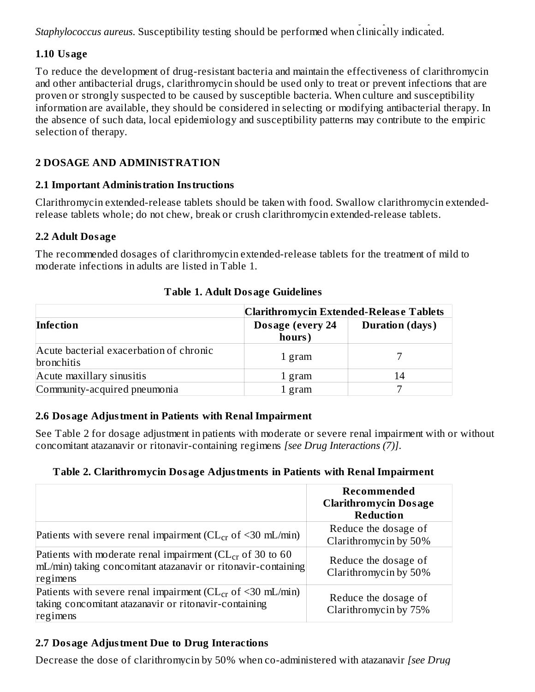There is resistance to macrolides in certain bacterial infections caused by *Streptococcus pneumoniae* and *Staphylococcus aureus*. Susceptibility testing should be performed when clinically indicated.

### **1.10 Usage**

To reduce the development of drug-resistant bacteria and maintain the effectiveness of clarithromycin and other antibacterial drugs, clarithromycin should be used only to treat or prevent infections that are proven or strongly suspected to be caused by susceptible bacteria. When culture and susceptibility information are available, they should be considered in selecting or modifying antibacterial therapy. In the absence of such data, local epidemiology and susceptibility patterns may contribute to the empiric selection of therapy.

# **2 DOSAGE AND ADMINISTRATION**

### **2.1 Important Administration Instructions**

Clarithromycin extended-release tablets should be taken with food. Swallow clarithromycin extendedrelease tablets whole; do not chew, break or crush clarithromycin extended-release tablets.

#### **2.2 Adult Dosage**

The recommended dosages of clarithromycin extended-release tablets for the treatment of mild to moderate infections in adults are listed in Table 1.

|                                                              | <b>Clarithromycin Extended-Release Tablets</b> |                        |  |
|--------------------------------------------------------------|------------------------------------------------|------------------------|--|
| Infection                                                    | Dosage (every 24<br>hours)                     | <b>Duration (days)</b> |  |
| Acute bacterial exacerbation of chronic<br><b>bronchitis</b> | 1 gram                                         |                        |  |
| Acute maxillary sinusitis                                    | 1 gram                                         | 14                     |  |
| Community-acquired pneumonia                                 | 1 gram                                         |                        |  |

#### **Table 1. Adult Dosage Guidelines**

### **2.6 Dosage Adjustment in Patients with Renal Impairment**

See Table 2 for dosage adjustment in patients with moderate or severe renal impairment with or without concomitant atazanavir or ritonavir-containing regimens *[see Drug Interactions (7)]*.

# **Table 2. Clarithromycin Dosage Adjustments in Patients with Renal Impairment**

|                                                                                                                                              | Recommended<br><b>Clarithromycin Dosage</b><br><b>Reduction</b> |
|----------------------------------------------------------------------------------------------------------------------------------------------|-----------------------------------------------------------------|
| Patients with severe renal impairment ( $CL_{cr}$ of <30 mL/min)                                                                             | Reduce the dosage of<br>Clarithromycin by 50%                   |
| Patients with moderate renal impairment ( $CL_{cr}$ of 30 to 60<br>mL/min) taking concomitant atazanavir or ritonavir-containing<br>regimens | Reduce the dosage of<br>Clarithromycin by 50%                   |
| Patients with severe renal impairment ( $CL_{cr}$ of <30 mL/min)<br>taking concomitant atazanavir or ritonavir-containing<br>regimens        | Reduce the dosage of<br>Clarithromycin by 75%                   |

# **2.7 Dosage Adjustment Due to Drug Interactions**

Decrease the dose of clarithromycin by 50% when co-administered with atazanavir *[see Drug*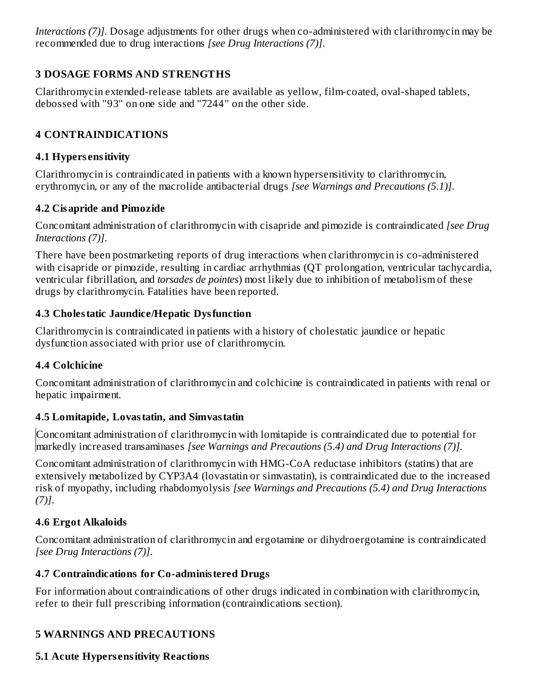*Interactions (7)]*. Dosage adjustments for other drugs when co-administered with clarithromycin may be recommended due to drug interactions *[see Drug Interactions (7)]*.

# **3 DOSAGE FORMS AND STRENGTHS**

Clarithromycin extended-release tablets are available as yellow, film-coated, oval-shaped tablets, debossed with "93" on one side and "7244" on the other side.

# **4 CONTRAINDICATIONS**

### **4.1 Hypers ensitivity**

Clarithromycin is contraindicated in patients with a known hypersensitivity to clarithromycin, erythromycin, or any of the macrolide antibacterial drugs *[see Warnings and Precautions (5.1)]*.

# **4.2 Cisapride and Pimozide**

Concomitant administration of clarithromycin with cisapride and pimozide is contraindicated *[see Drug Interactions (7)]*.

There have been postmarketing reports of drug interactions when clarithromycin is co-administered with cisapride or pimozide, resulting in cardiac arrhythmias (QT prolongation, ventricular tachycardia, ventricular fibrillation, and *torsades de pointes*) most likely due to inhibition of metabolism of these drugs by clarithromycin. Fatalities have been reported.

### **4.3 Cholestatic Jaundice/Hepatic Dysfunction**

Clarithromycin is contraindicated in patients with a history of cholestatic jaundice or hepatic dysfunction associated with prior use of clarithromycin.

# **4.4 Colchicine**

Concomitant administration of clarithromycin and colchicine is contraindicated in patients with renal or hepatic impairment.

# **4.5 Lomitapide, Lovastatin, and Simvastatin**

Concomitant administration of clarithromycin with lomitapide is contraindicated due to potential for markedly increased transaminases *[see Warnings and Precautions (5.4) and Drug Interactions (7)]*.

Concomitant administration of clarithromycin with HMG-CoA reductase inhibitors (statins) that are extensively metabolized by CYP3A4 (lovastatin or simvastatin), is contraindicated due to the increased risk of myopathy, including rhabdomyolysis *[see Warnings and Precautions (5.4) and Drug Interactions (7)]*.

# **4.6 Ergot Alkaloids**

Concomitant administration of clarithromycin and ergotamine or dihydroergotamine is contraindicated *[see Drug Interactions (7)]*.

# **4.7 Contraindications for Co-administered Drugs**

For information about contraindications of other drugs indicated in combination with clarithromycin, refer to their full prescribing information (contraindications section).

# **5 WARNINGS AND PRECAUTIONS**

# **5.1 Acute Hypers ensitivity Reactions**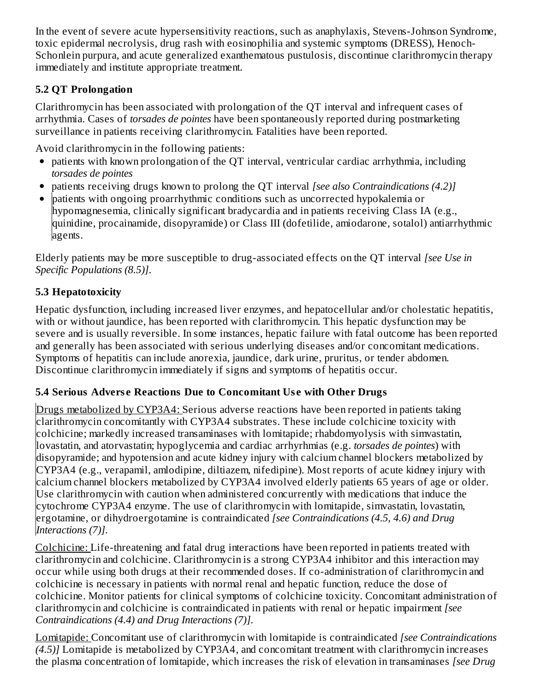In the event of severe acute hypersensitivity reactions, such as anaphylaxis, Stevens-Johnson Syndrome, toxic epidermal necrolysis, drug rash with eosinophilia and systemic symptoms (DRESS), Henoch-Schonlein purpura, and acute generalized exanthematous pustulosis, discontinue clarithromycin therapy immediately and institute appropriate treatment.

# **5.2 QT Prolongation**

Clarithromycin has been associated with prolongation of the QT interval and infrequent cases of arrhythmia. Cases of *torsades de pointes* have been spontaneously reported during postmarketing surveillance in patients receiving clarithromycin. Fatalities have been reported.

Avoid clarithromycin in the following patients:

- patients with known prolongation of the QT interval, ventricular cardiac arrhythmia, including *torsades de pointes*
- patients receiving drugs known to prolong the QT interval *[see also Contraindications (4.2)]*
- patients with ongoing proarrhythmic conditions such as uncorrected hypokalemia or  $\bullet$ hypomagnesemia, clinically significant bradycardia and in patients receiving Class IA (e.g., quinidine, procainamide, disopyramide) or Class III (dofetilide, amiodarone, sotalol) antiarrhythmic agents.

Elderly patients may be more susceptible to drug-associated effects on the QT interval *[see Use in Specific Populations (8.5)]*.

# **5.3 Hepatotoxicity**

Hepatic dysfunction, including increased liver enzymes, and hepatocellular and/or cholestatic hepatitis, with or without jaundice, has been reported with clarithromycin. This hepatic dysfunction may be severe and is usually reversible. In some instances, hepatic failure with fatal outcome has been reported and generally has been associated with serious underlying diseases and/or concomitant medications. Symptoms of hepatitis can include anorexia, jaundice, dark urine, pruritus, or tender abdomen. Discontinue clarithromycin immediately if signs and symptoms of hepatitis occur.

# **5.4 Serious Advers e Reactions Due to Concomitant Us e with Other Drugs**

Drugs metabolized by CYP3A4: Serious adverse reactions have been reported in patients taking clarithromycin concomitantly with CYP3A4 substrates. These include colchicine toxicity with colchicine; markedly increased transaminases with lomitapide; rhabdomyolysis with simvastatin, lovastatin, and atorvastatin; hypoglycemia and cardiac arrhyrhmias (e.g. *torsades de pointes*) with disopyramide; and hypotension and acute kidney injury with calcium channel blockers metabolized by CYP3A4 (e.g., verapamil, amlodipine, diltiazem, nifedipine). Most reports of acute kidney injury with calcium channel blockers metabolized by CYP3A4 involved elderly patients 65 years of age or older. Use clarithromycin with caution when administered concurrently with medications that induce the cytochrome CYP3A4 enzyme. The use of clarithromycin with lomitapide, simvastatin, lovastatin, ergotamine, or dihydroergotamine is contraindicated *[see Contraindications (4.5, 4.6) and Drug Interactions (7)]*.

Colchicine: Life-threatening and fatal drug interactions have been reported in patients treated with clarithromycin and colchicine. Clarithromycin is a strong CYP3A4 inhibitor and this interaction may occur while using both drugs at their recommended doses. If co-administration of clarithromycin and colchicine is necessary in patients with normal renal and hepatic function, reduce the dose of colchicine. Monitor patients for clinical symptoms of colchicine toxicity. Concomitant administration of clarithromycin and colchicine is contraindicated in patients with renal or hepatic impairment *[see Contraindications (4.4) and Drug Interactions (7)]*.

Lomitapide: Concomitant use of clarithromycin with lomitapide is contraindicated *[see Contraindications (4.5)]* Lomitapide is metabolized by CYP3A4, and concomitant treatment with clarithromycin increases the plasma concentration of lomitapide, which increases the risk of elevation in transaminases *[see Drug*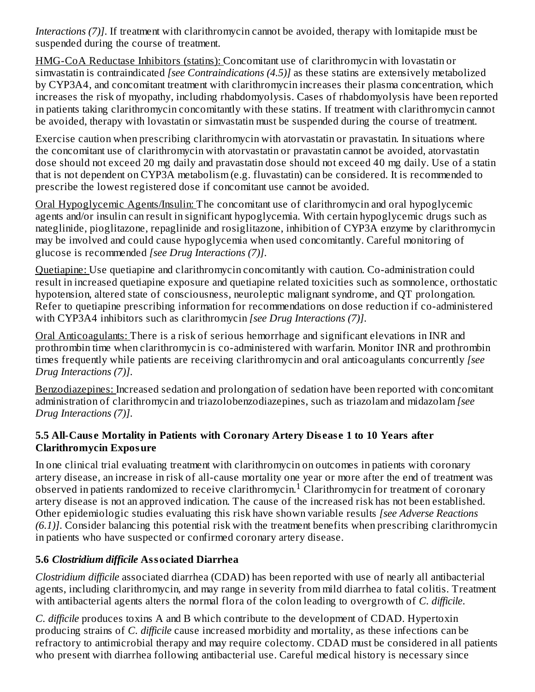*Interactions (7)]*. If treatment with clarithromycin cannot be avoided, therapy with lomitapide must be suspended during the course of treatment.

HMG-CoA Reductase Inhibitors (statins): Concomitant use of clarithromycin with lovastatin or simvastatin is contraindicated *[see Contraindications (4.5)]* as these statins are extensively metabolized by CYP3A4, and concomitant treatment with clarithromycin increases their plasma concentration, which increases the risk of myopathy, including rhabdomyolysis. Cases of rhabdomyolysis have been reported in patients taking clarithromycin concomitantly with these statins. If treatment with clarithromycin cannot be avoided, therapy with lovastatin or simvastatin must be suspended during the course of treatment.

Exercise caution when prescribing clarithromycin with atorvastatin or pravastatin. In situations where the concomitant use of clarithromycin with atorvastatin or pravastatin cannot be avoided, atorvastatin dose should not exceed 20 mg daily and pravastatin dose should not exceed 40 mg daily. Use of a statin that is not dependent on CYP3A metabolism (e.g. fluvastatin) can be considered. It is recommended to prescribe the lowest registered dose if concomitant use cannot be avoided.

Oral Hypoglycemic Agents/Insulin: The concomitant use of clarithromycin and oral hypoglycemic agents and/or insulin can result in significant hypoglycemia. With certain hypoglycemic drugs such as nateglinide, pioglitazone, repaglinide and rosiglitazone, inhibition of CYP3A enzyme by clarithromycin may be involved and could cause hypoglycemia when used concomitantly. Careful monitoring of glucose is recommended *[see Drug Interactions (7)]*.

Quetiapine: Use quetiapine and clarithromycin concomitantly with caution. Co-administration could result in increased quetiapine exposure and quetiapine related toxicities such as somnolence, orthostatic hypotension, altered state of consciousness, neuroleptic malignant syndrome, and QT prolongation. Refer to quetiapine prescribing information for recommendations on dose reduction if co-administered with CYP3A4 inhibitors such as clarithromycin *[see Drug Interactions (7)]*.

Oral Anticoagulants: There is a risk of serious hemorrhage and significant elevations in INR and prothrombin time when clarithromycin is co-administered with warfarin. Monitor INR and prothrombin times frequently while patients are receiving clarithromycin and oral anticoagulants concurrently *[see Drug Interactions (7)]*.

Benzodiazepines: Increased sedation and prolongation of sedation have been reported with concomitant administration of clarithromycin and triazolobenzodiazepines, such as triazolam and midazolam *[see Drug Interactions (7)]*.

### **5.5 All-Caus e Mortality in Patients with Coronary Artery Dis eas e 1 to 10 Years after Clarithromycin Exposure**

In one clinical trial evaluating treatment with clarithromycin on outcomes in patients with coronary artery disease, an increase in risk of all-cause mortality one year or more after the end of treatment was observed in patients randomized to receive clarithromycin.<sup>1</sup> Clarithromycin for treatment of coronary artery disease is not an approved indication. The cause of the increased risk has not been established. Other epidemiologic studies evaluating this risk have shown variable results *[see Adverse Reactions (6.1)]*. Consider balancing this potential risk with the treatment benefits when prescribing clarithromycin in patients who have suspected or confirmed coronary artery disease.

# **5.6** *Clostridium difficile* **Associated Diarrhea**

*Clostridium difficile* associated diarrhea (CDAD) has been reported with use of nearly all antibacterial agents, including clarithromycin, and may range in severity from mild diarrhea to fatal colitis. Treatment with antibacterial agents alters the normal flora of the colon leading to overgrowth of *C. difficile*.

*C. difficile* produces toxins A and B which contribute to the development of CDAD. Hypertoxin producing strains of *C. difficile* cause increased morbidity and mortality, as these infections can be refractory to antimicrobial therapy and may require colectomy. CDAD must be considered in all patients who present with diarrhea following antibacterial use. Careful medical history is necessary since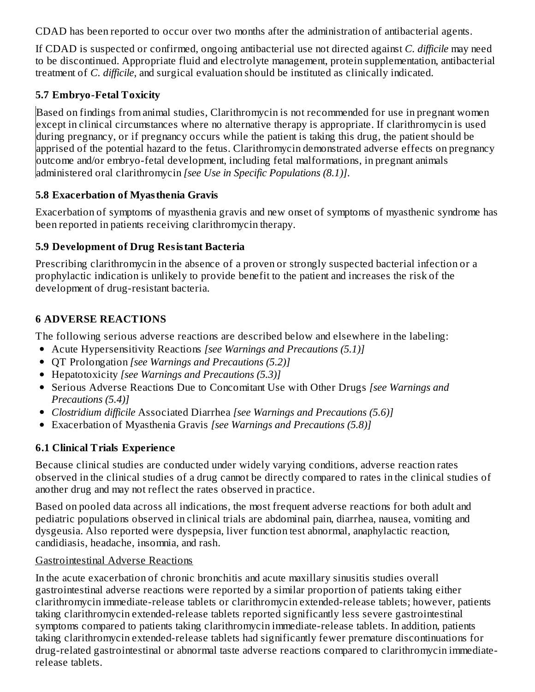CDAD has been reported to occur over two months after the administration of antibacterial agents.

If CDAD is suspected or confirmed, ongoing antibacterial use not directed against *C. difficile* may need to be discontinued. Appropriate fluid and electrolyte management, protein supplementation, antibacterial treatment of *C. difficile*, and surgical evaluation should be instituted as clinically indicated.

# **5.7 Embryo-Fetal Toxicity**

Based on findings from animal studies, Clarithromycin is not recommended for use in pregnant women except in clinical circumstances where no alternative therapy is appropriate. If clarithromycin is used during pregnancy, or if pregnancy occurs while the patient is taking this drug, the patient should be apprised of the potential hazard to the fetus. Clarithromycin demonstrated adverse effects on pregnancy outcome and/or embryo-fetal development, including fetal malformations, in pregnant animals administered oral clarithromycin *[see Use in Specific Populations (8.1)]*.

# **5.8 Exacerbation of Myasthenia Gravis**

Exacerbation of symptoms of myasthenia gravis and new onset of symptoms of myasthenic syndrome has been reported in patients receiving clarithromycin therapy.

# **5.9 Development of Drug Resistant Bacteria**

Prescribing clarithromycin in the absence of a proven or strongly suspected bacterial infection or a prophylactic indication is unlikely to provide benefit to the patient and increases the risk of the development of drug-resistant bacteria.

# **6 ADVERSE REACTIONS**

The following serious adverse reactions are described below and elsewhere in the labeling:

- Acute Hypersensitivity Reactions *[see Warnings and Precautions (5.1)]*
- QT Prolongation *[see Warnings and Precautions (5.2)]*
- Hepatotoxicity *[see Warnings and Precautions (5.3)]*
- Serious Adverse Reactions Due to Concomitant Use with Other Drugs *[see Warnings and Precautions (5.4)]*
- *Clostridium difficile* Associated Diarrhea *[see Warnings and Precautions (5.6)]*
- Exacerbation of Myasthenia Gravis *[see Warnings and Precautions (5.8)]*

# **6.1 Clinical Trials Experience**

Because clinical studies are conducted under widely varying conditions, adverse reaction rates observed in the clinical studies of a drug cannot be directly compared to rates in the clinical studies of another drug and may not reflect the rates observed in practice.

Based on pooled data across all indications, the most frequent adverse reactions for both adult and pediatric populations observed in clinical trials are abdominal pain, diarrhea, nausea, vomiting and dysgeusia. Also reported were dyspepsia, liver function test abnormal, anaphylactic reaction, candidiasis, headache, insomnia, and rash.

# Gastrointestinal Adverse Reactions

In the acute exacerbation of chronic bronchitis and acute maxillary sinusitis studies overall gastrointestinal adverse reactions were reported by a similar proportion of patients taking either clarithromycin immediate-release tablets or clarithromycin extended-release tablets; however, patients taking clarithromycin extended-release tablets reported significantly less severe gastrointestinal symptoms compared to patients taking clarithromycin immediate-release tablets. In addition, patients taking clarithromycin extended-release tablets had significantly fewer premature discontinuations for drug-related gastrointestinal or abnormal taste adverse reactions compared to clarithromycin immediaterelease tablets.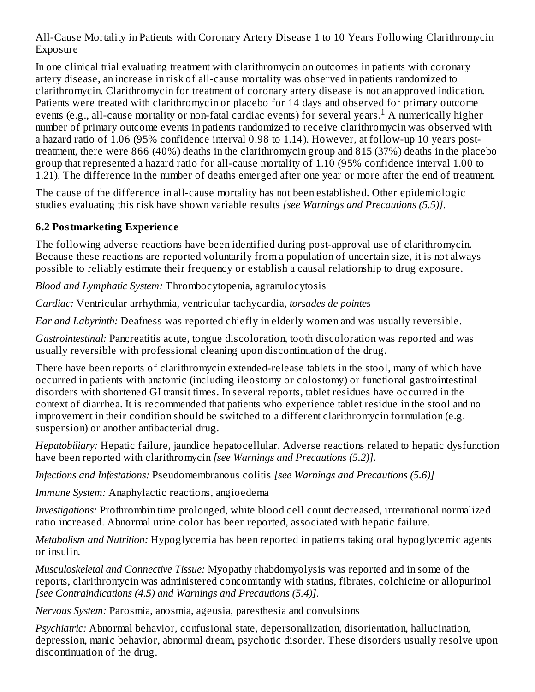### All-Cause Mortality in Patients with Coronary Artery Disease 1 to 10 Years Following Clarithromycin Exposure

In one clinical trial evaluating treatment with clarithromycin on outcomes in patients with coronary artery disease, an increase in risk of all-cause mortality was observed in patients randomized to clarithromycin. Clarithromycin for treatment of coronary artery disease is not an approved indication. Patients were treated with clarithromycin or placebo for 14 days and observed for primary outcome events (e.g., all-cause mortality or non-fatal cardiac events) for several years.<sup>1</sup> A numerically higher number of primary outcome events in patients randomized to receive clarithromycin was observed with a hazard ratio of 1.06 (95% confidence interval 0.98 to 1.14). However, at follow-up 10 years posttreatment, there were 866 (40%) deaths in the clarithromycin group and 815 (37%) deaths in the placebo group that represented a hazard ratio for all-cause mortality of 1.10 (95% confidence interval 1.00 to 1.21). The difference in the number of deaths emerged after one year or more after the end of treatment.

The cause of the difference in all-cause mortality has not been established. Other epidemiologic studies evaluating this risk have shown variable results *[see Warnings and Precautions (5.5)]*.

# **6.2 Postmarketing Experience**

The following adverse reactions have been identified during post-approval use of clarithromycin. Because these reactions are reported voluntarily from a population of uncertain size, it is not always possible to reliably estimate their frequency or establish a causal relationship to drug exposure.

*Blood and Lymphatic System:* Thrombocytopenia, agranulocytosis

*Cardiac:* Ventricular arrhythmia, ventricular tachycardia, *torsades de pointes*

*Ear and Labyrinth:* Deafness was reported chiefly in elderly women and was usually reversible.

*Gastrointestinal:* Pancreatitis acute, tongue discoloration, tooth discoloration was reported and was usually reversible with professional cleaning upon discontinuation of the drug.

There have been reports of clarithromycin extended-release tablets in the stool, many of which have occurred in patients with anatomic (including ileostomy or colostomy) or functional gastrointestinal disorders with shortened GI transit times. In several reports, tablet residues have occurred in the context of diarrhea. It is recommended that patients who experience tablet residue in the stool and no improvement in their condition should be switched to a different clarithromycin formulation (e.g. suspension) or another antibacterial drug.

*Hepatobiliary:* Hepatic failure, jaundice hepatocellular. Adverse reactions related to hepatic dysfunction have been reported with clarithromycin *[see Warnings and Precautions (5.2)]*.

*Infections and Infestations:* Pseudomembranous colitis *[see Warnings and Precautions (5.6)]*

*Immune System:* Anaphylactic reactions, angioedema

*Investigations:* Prothrombin time prolonged, white blood cell count decreased, international normalized ratio increased. Abnormal urine color has been reported, associated with hepatic failure.

*Metabolism and Nutrition:* Hypoglycemia has been reported in patients taking oral hypoglycemic agents or insulin.

*Musculoskeletal and Connective Tissue:* Myopathy rhabdomyolysis was reported and in some of the reports, clarithromycin was administered concomitantly with statins, fibrates, colchicine or allopurinol *[see Contraindications (4.5) and Warnings and Precautions (5.4)]*.

*Nervous System:* Parosmia, anosmia, ageusia, paresthesia and convulsions

*Psychiatric:* Abnormal behavior, confusional state, depersonalization, disorientation, hallucination, depression, manic behavior, abnormal dream, psychotic disorder. These disorders usually resolve upon discontinuation of the drug.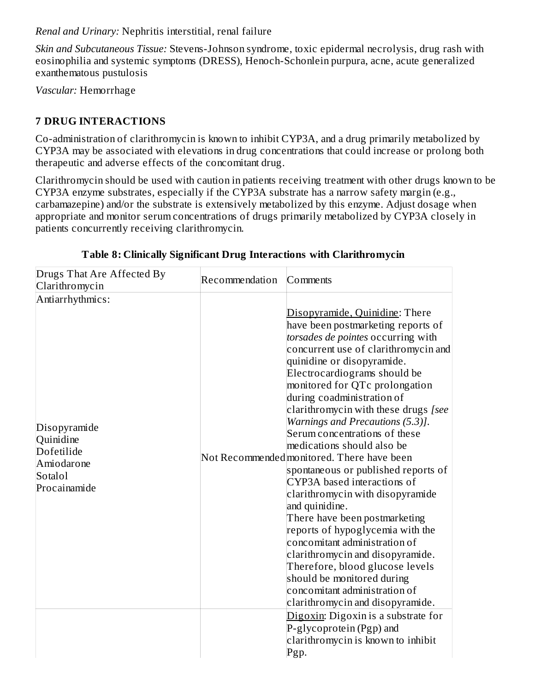*Renal and Urinary:* Nephritis interstitial, renal failure

*Skin and Subcutaneous Tissue:* Stevens-Johnson syndrome, toxic epidermal necrolysis, drug rash with eosinophilia and systemic symptoms (DRESS), Henoch-Schonlein purpura, acne, acute generalized exanthematous pustulosis

*Vascular:* Hemorrhage

# **7 DRUG INTERACTIONS**

Co-administration of clarithromycin is known to inhibit CYP3A, and a drug primarily metabolized by CYP3A may be associated with elevations in drug concentrations that could increase or prolong both therapeutic and adverse effects of the concomitant drug.

Clarithromycin should be used with caution in patients receiving treatment with other drugs known to be CYP3A enzyme substrates, especially if the CYP3A substrate has a narrow safety margin (e.g., carbamazepine) and/or the substrate is extensively metabolized by this enzyme. Adjust dosage when appropriate and monitor serum concentrations of drugs primarily metabolized by CYP3A closely in patients concurrently receiving clarithromycin.

| Drugs That Are Affected By                                                                                             | Recommendation | Comments                                                                                                                                                                                                                                                                                                                                                                                                                                                                                                                                                                                                                                                                                                                                                                                                                                                                                                                                                                                               |
|------------------------------------------------------------------------------------------------------------------------|----------------|--------------------------------------------------------------------------------------------------------------------------------------------------------------------------------------------------------------------------------------------------------------------------------------------------------------------------------------------------------------------------------------------------------------------------------------------------------------------------------------------------------------------------------------------------------------------------------------------------------------------------------------------------------------------------------------------------------------------------------------------------------------------------------------------------------------------------------------------------------------------------------------------------------------------------------------------------------------------------------------------------------|
| Clarithromycin<br>Antiarrhythmics:<br>Disopyramide<br>Quinidine<br>Dofetilide<br>Amiodarone<br>Sotalol<br>Procainamide |                | Disopyramide, Quinidine: There<br>have been postmarketing reports of<br>torsades de pointes occurring with<br>concurrent use of clarithromycin and<br>quinidine or disopyramide.<br>Electrocardiograms should be<br>monitored for QTc prolongation<br>during coadministration of<br>clarithromycin with these drugs [see<br>Warnings and Precautions (5.3)].<br>Serum concentrations of these<br>medications should also be<br>Not Recommended monitored. There have been<br>spontaneous or published reports of<br>CYP3A based interactions of<br>clarithromycin with disopyramide<br>and quinidine.<br>There have been postmarketing<br>reports of hypoglycemia with the<br>concomitant administration of<br>clarithromycin and disopyramide.<br>Therefore, blood glucose levels<br>should be monitored during<br>concomitant administration of<br>clarithromycin and disopyramide.<br>Digoxin: Digoxin is a substrate for<br>P-glycoprotein (Pgp) and<br>clarithromycin is known to inhibit<br>Pgp. |

### **Table 8: Clinically Significant Drug Interactions with Clarithromycin**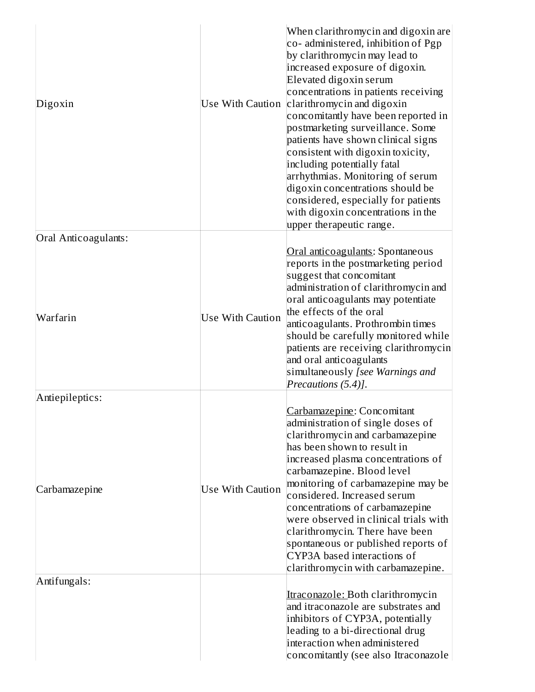| Digoxin<br>Oral Anticoagulants: | <b>Use With Caution</b> | When clarithromycin and digoxin are<br>co- administered, inhibition of Pgp<br>by clarithromycin may lead to<br>increased exposure of digoxin.<br>Elevated digoxin serum<br>concentrations in patients receiving<br>clarithromycin and digoxin<br>concomitantly have been reported in<br>postmarketing surveillance. Some<br>patients have shown clinical signs<br>consistent with digoxin toxicity,<br>including potentially fatal<br>arrhythmias. Monitoring of serum<br>digoxin concentrations should be<br>considered, especially for patients<br>with digoxin concentrations in the<br>upper therapeutic range. |
|---------------------------------|-------------------------|---------------------------------------------------------------------------------------------------------------------------------------------------------------------------------------------------------------------------------------------------------------------------------------------------------------------------------------------------------------------------------------------------------------------------------------------------------------------------------------------------------------------------------------------------------------------------------------------------------------------|
|                                 |                         | Oral anticoagulants: Spontaneous                                                                                                                                                                                                                                                                                                                                                                                                                                                                                                                                                                                    |
| Warfarin                        | <b>Use With Caution</b> | reports in the postmarketing period<br>suggest that concomitant<br>administration of clarithromycin and<br>oral anticoagulants may potentiate<br>the effects of the oral<br>anticoagulants. Prothrombin times<br>should be carefully monitored while<br>patients are receiving clarithromycin<br>and oral anticoagulants<br>simultaneously [see Warnings and<br>Precautions (5.4)].                                                                                                                                                                                                                                 |
| Antiepileptics:                 |                         |                                                                                                                                                                                                                                                                                                                                                                                                                                                                                                                                                                                                                     |
| Carbamazepine                   | Use With Caution        | Carbamazepine: Concomitant<br>administration of single doses of<br>clarithromycin and carbamazepine<br>has been shown to result in<br>increased plasma concentrations of<br>carbamazepine. Blood level<br>monitoring of carbamazepine may be<br>considered. Increased serum<br>concentrations of carbamazepine                                                                                                                                                                                                                                                                                                      |
|                                 |                         | were observed in clinical trials with<br>clarithromycin. There have been<br>spontaneous or published reports of<br>CYP3A based interactions of<br>clarithromycin with carbamazepine.                                                                                                                                                                                                                                                                                                                                                                                                                                |
| Antifungals:                    |                         |                                                                                                                                                                                                                                                                                                                                                                                                                                                                                                                                                                                                                     |
|                                 |                         | <u>Itraconazole: Both clarithromycin</u><br>and itraconazole are substrates and<br>inhibitors of CYP3A, potentially<br>leading to a bi-directional drug<br>interaction when administered<br>concomitantly (see also Itraconazole                                                                                                                                                                                                                                                                                                                                                                                    |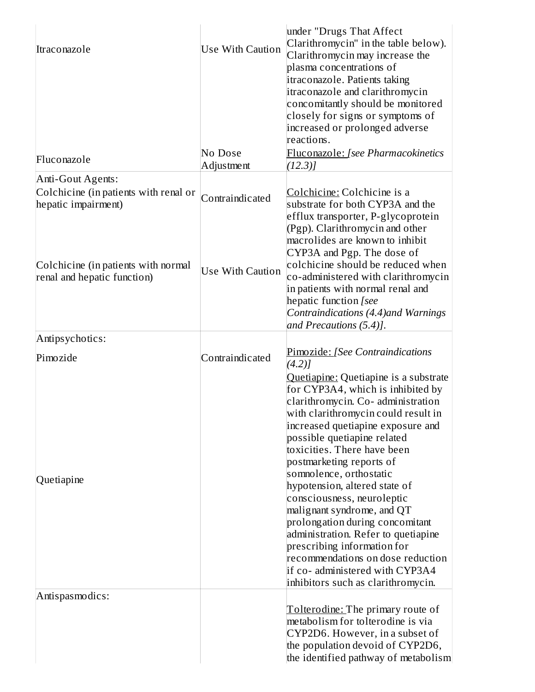| Itraconazole<br>Fluconazole                                                       | <b>Use With Caution</b><br>No Dose | under "Drugs That Affect<br>Clarithromycin" in the table below).<br>Clarithromycin may increase the<br>plasma concentrations of<br>itraconazole. Patients taking<br>itraconazole and clarithromycin<br>concomitantly should be monitored<br>closely for signs or symptoms of<br>increased or prolonged adverse<br>reactions.<br>Fluconazole: [see Pharmacokinetics |
|-----------------------------------------------------------------------------------|------------------------------------|--------------------------------------------------------------------------------------------------------------------------------------------------------------------------------------------------------------------------------------------------------------------------------------------------------------------------------------------------------------------|
|                                                                                   | Adjustment                         | (12.3)                                                                                                                                                                                                                                                                                                                                                             |
| Anti-Gout Agents:<br>Colchicine (in patients with renal or<br>hepatic impairment) | Contraindicated                    | Colchicine: Colchicine is a<br>substrate for both CYP3A and the<br>efflux transporter, P-glycoprotein<br>(Pgp). Clarithromycin and other<br>macrolides are known to inhibit<br>CYP3A and Pgp. The dose of                                                                                                                                                          |
| Colchicine (in patients with normal<br>renal and hepatic function)                | <b>Use With Caution</b>            | colchicine should be reduced when<br>co-administered with clarithromycin<br>in patients with normal renal and<br>hepatic function [see<br>Contraindications (4.4) and Warnings<br>and Precautions (5.4)].                                                                                                                                                          |
| Antipsychotics:                                                                   |                                    |                                                                                                                                                                                                                                                                                                                                                                    |
| Pimozide                                                                          | Contraindicated                    | Pimozide: [See Contraindications<br>(4.2)<br>Quetiapine: Quetiapine is a substrate<br>for CYP3A4, which is inhibited by<br>clarithromycin. Co- administration<br>with clarithromycin could result in<br>increased quetiapine exposure and<br>possible quetiapine related<br>toxicities. There have been<br>postmarketing reports of                                |
| Quetiapine                                                                        |                                    | somnolence, orthostatic<br>hypotension, altered state of<br>consciousness, neuroleptic<br>malignant syndrome, and QT<br>prolongation during concomitant<br>administration. Refer to quetiapine<br>prescribing information for<br>recommendations on dose reduction<br>if co- administered with CYP3A4<br>inhibitors such as clarithromycin.                        |
| Antispasmodics:                                                                   |                                    | Tolterodine: The primary route of<br>metabolism for tolterodine is via<br>CYP2D6. However, in a subset of<br>the population devoid of CYP2D6,<br>the identified pathway of metabolism                                                                                                                                                                              |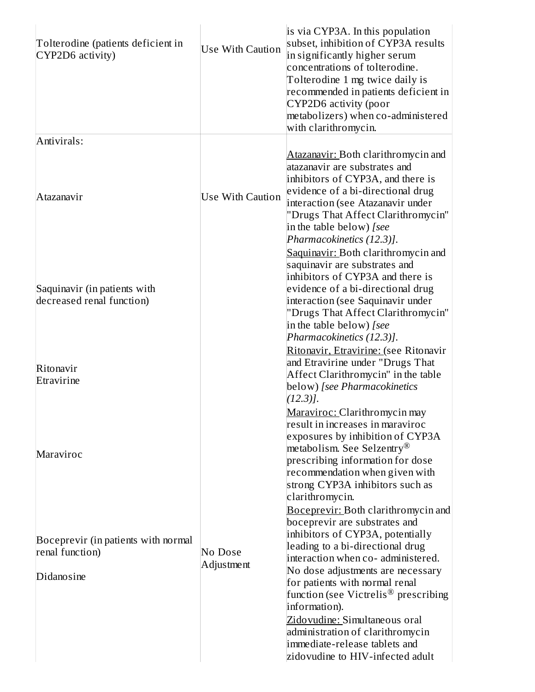| Tolterodine (patients deficient in<br>CYP2D6 activity)    | <b>Use With Caution</b> | is via CYP3A. In this population<br>subset, inhibition of CYP3A results<br>in significantly higher serum<br>concentrations of tolterodine.<br>Tolterodine 1 mg twice daily is<br>recommended in patients deficient in<br>CYP2D6 activity (poor<br>metabolizers) when co-administered<br>with clarithromycin. |
|-----------------------------------------------------------|-------------------------|--------------------------------------------------------------------------------------------------------------------------------------------------------------------------------------------------------------------------------------------------------------------------------------------------------------|
| Antivirals:                                               |                         |                                                                                                                                                                                                                                                                                                              |
| Atazanavir                                                | <b>Use With Caution</b> | Atazanavir: Both clarithromycin and<br>atazanavir are substrates and<br>inhibitors of CYP3A, and there is<br>evidence of a bi-directional drug<br>interaction (see Atazanavir under<br>"Drugs That Affect Clarithromycin"<br>in the table below) [see<br>Pharmacokinetics (12.3)].                           |
|                                                           |                         | Saquinavir: Both clarithromycin and<br>saquinavir are substrates and<br>inhibitors of CYP3A and there is                                                                                                                                                                                                     |
| Saquinavir (in patients with<br>decreased renal function) |                         | evidence of a bi-directional drug<br>interaction (see Saquinavir under                                                                                                                                                                                                                                       |
|                                                           |                         | "Drugs That Affect Clarithromycin"<br>in the table below) [see<br>Pharmacokinetics (12.3)].                                                                                                                                                                                                                  |
| Ritonavir<br>Etravirine                                   |                         | Ritonavir, Etravirine: (see Ritonavir<br>and Etravirine under "Drugs That<br>Affect Clarithromycin" in the table<br>below) [see Pharmacokinetics<br>$(12.3)$ ].                                                                                                                                              |
| Maraviroc                                                 |                         | Maraviroc: Clarithromycin may<br>result in increases in maraviroc<br>exposures by inhibition of CYP3A<br>metabolism. See Selzentry <sup>®</sup><br>prescribing information for dose<br>recommendation when given with<br>strong CYP3A inhibitors such as<br>clarithromycin.                                  |
|                                                           |                         | <b>Boceprevir: Both clarithromycin and</b><br>boceprevir are substrates and<br>inhibitors of CYP3A, potentially                                                                                                                                                                                              |
| Boceprevir (in patients with normal<br>renal function)    | No Dose                 | leading to a bi-directional drug                                                                                                                                                                                                                                                                             |
| Didanosine                                                | Adjustment              | interaction when co- administered.<br>No dose adjustments are necessary<br>for patients with normal renal<br>function (see Victrelis <sup>®</sup> prescribing<br>information).                                                                                                                               |
|                                                           |                         | Zidovudine: Simultaneous oral<br>administration of clarithromycin<br>immediate-release tablets and<br>zidovudine to HIV-infected adult                                                                                                                                                                       |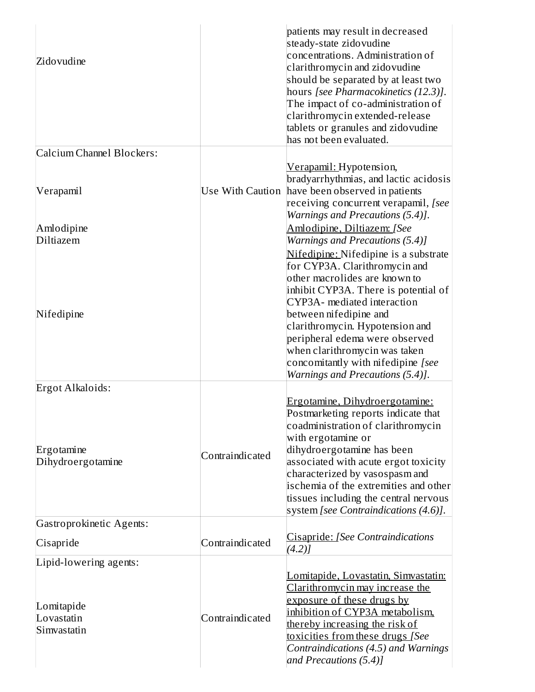| Zidovudine                                                        |                  | patients may result in decreased<br>steady-state zidovudine<br>concentrations. Administration of<br>clarithromycin and zidovudine<br>should be separated by at least two<br>hours [see Pharmacokinetics (12.3)].<br>The impact of co-administration of<br>clarithromycin extended-release<br>tablets or granules and zidovudine<br>has not been evaluated.           |
|-------------------------------------------------------------------|------------------|----------------------------------------------------------------------------------------------------------------------------------------------------------------------------------------------------------------------------------------------------------------------------------------------------------------------------------------------------------------------|
| Calcium Channel Blockers:                                         |                  |                                                                                                                                                                                                                                                                                                                                                                      |
| Verapamil                                                         | Use With Caution | <u> Verapamil: Hypotension,</u><br>bradyarrhythmias, and lactic acidosis<br>have been observed in patients<br>receiving concurrent verapamil, [see<br>Warnings and Precautions (5.4)].                                                                                                                                                                               |
| Amlodipine<br>Diltiazem                                           |                  | Amlodipine, Diltiazem: [See<br>Warnings and Precautions (5.4)]<br>Nifedipine: Nifedipine is a substrate<br>for CYP3A. Clarithromycin and<br>other macrolides are known to<br>inhibit CYP3A. There is potential of<br>CYP3A- mediated interaction                                                                                                                     |
| Nifedipine                                                        |                  | between nifedipine and<br>clarithromycin. Hypotension and<br>peripheral edema were observed<br>when clarithromycin was taken<br>concomitantly with nifedipine [see<br>Warnings and Precautions (5.4)].                                                                                                                                                               |
| Ergot Alkaloids:                                                  |                  |                                                                                                                                                                                                                                                                                                                                                                      |
| Ergotamine<br>Dihydroergotamine                                   | Contraindicated  | Ergotamine, Dihydroergotamine:<br>Postmarketing reports indicate that<br>coadministration of clarithromycin<br>with ergotamine or<br>dihydroergotamine has been<br>associated with acute ergot toxicity<br>characterized by vasospasm and<br>ischemia of the extremities and other<br>tissues including the central nervous<br>system [see Contraindications (4.6)]. |
| Gastroprokinetic Agents:                                          |                  |                                                                                                                                                                                                                                                                                                                                                                      |
| Cisapride                                                         | Contraindicated  | Cisapride: [See Contraindications<br>$(4.2)$ ]                                                                                                                                                                                                                                                                                                                       |
| Lipid-lowering agents:<br>Lomitapide<br>Lovastatin<br>Simvastatin | Contraindicated  | Lomitapide, Lovastatin, Simvastatin:<br>Clarithromycin may increase the<br>exposure of these drugs by<br>inhibition of CYP3A metabolism.<br>thereby increasing the risk of<br>toxicities from these drugs [See<br>Contraindications (4.5) and Warnings<br>and Precautions (5.4)]                                                                                     |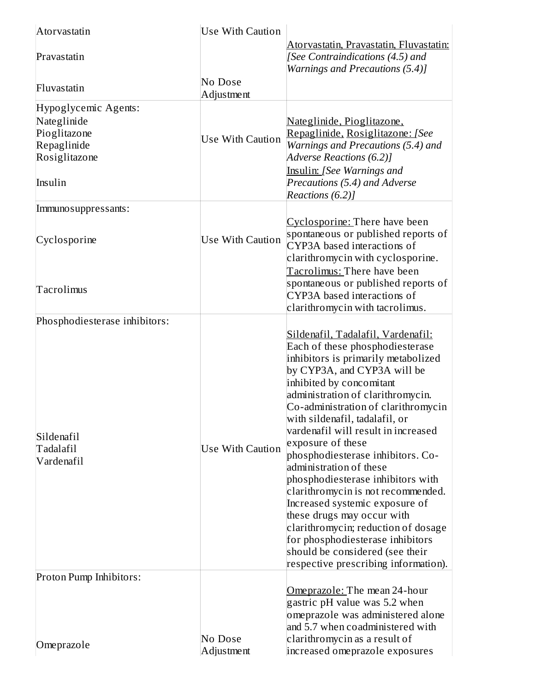| Atorvastatin                  | <b>Use With Caution</b> |                                                                                                                |
|-------------------------------|-------------------------|----------------------------------------------------------------------------------------------------------------|
| Pravastatin                   |                         | Atorvastatin, Pravastatin, Fluvastatin:<br>[See Contraindications (4.5) and<br>Warnings and Precautions (5.4)] |
| Fluvastatin                   | No Dose<br>Adjustment   |                                                                                                                |
| Hypoglycemic Agents:          |                         |                                                                                                                |
| Nateglinide                   |                         | Nateglinide, Pioglitazone,                                                                                     |
| Pioglitazone<br>Repaglinide   | Use With Caution        | Repaglinide, Rosiglitazone: [See<br>Warnings and Precautions (5.4) and                                         |
| Rosiglitazone                 |                         | Adverse Reactions (6.2)]                                                                                       |
|                               |                         | <b>Insulin:</b> [See Warnings and                                                                              |
| Insulin                       |                         | Precautions (5.4) and Adverse                                                                                  |
|                               |                         | Reactions (6.2)]                                                                                               |
| Immuno suppressants:          |                         |                                                                                                                |
|                               |                         | Cyclosporine: There have been                                                                                  |
| Cyclosporine                  | <b>Use With Caution</b> | spontaneous or published reports of<br>CYP3A based interactions of                                             |
|                               |                         | clarithromycin with cyclosporine.                                                                              |
|                               |                         | Tacrolimus: There have been                                                                                    |
| Tacrolimus                    |                         | spontaneous or published reports of                                                                            |
|                               |                         | CYP3A based interactions of                                                                                    |
|                               |                         | clarithromycin with tacrolimus.                                                                                |
| Phosphodiesterase inhibitors: |                         |                                                                                                                |
|                               |                         | Sildenafil, Tadalafil, Vardenafil:<br>Each of these phosphodiesterase                                          |
|                               |                         | inhibitors is primarily metabolized                                                                            |
|                               |                         | by CYP3A, and CYP3A will be                                                                                    |
|                               |                         | inhibited by concomitant                                                                                       |
|                               |                         | administration of clarithromycin.                                                                              |
|                               |                         | Co-administration of clarithromycin<br>with sildenafil, tadalafil, or                                          |
|                               |                         | vardenafil will result in increased                                                                            |
| Sildenafil<br>Tadalafil       | <b>Use With Caution</b> | exposure of these                                                                                              |
| Vardenafil                    |                         | phosphodiesterase inhibitors. Co-                                                                              |
|                               |                         | administration of these                                                                                        |
|                               |                         | phosphodiesterase inhibitors with<br>clarithromycin is not recommended.                                        |
|                               |                         | Increased systemic exposure of                                                                                 |
|                               |                         | these drugs may occur with                                                                                     |
|                               |                         | clarithromycin; reduction of dosage                                                                            |
|                               |                         | for phosphodiesterase inhibitors                                                                               |
|                               |                         | should be considered (see their<br>respective prescribing information).                                        |
| Proton Pump Inhibitors:       |                         |                                                                                                                |
|                               |                         | Omeprazole: The mean 24-hour                                                                                   |
|                               |                         | gastric pH value was 5.2 when                                                                                  |
|                               |                         | omeprazole was administered alone                                                                              |
|                               | No Dose                 | and 5.7 when coadministered with<br>clarithromycin as a result of                                              |
| Omeprazole                    | Adjustment              | increased omeprazole exposures                                                                                 |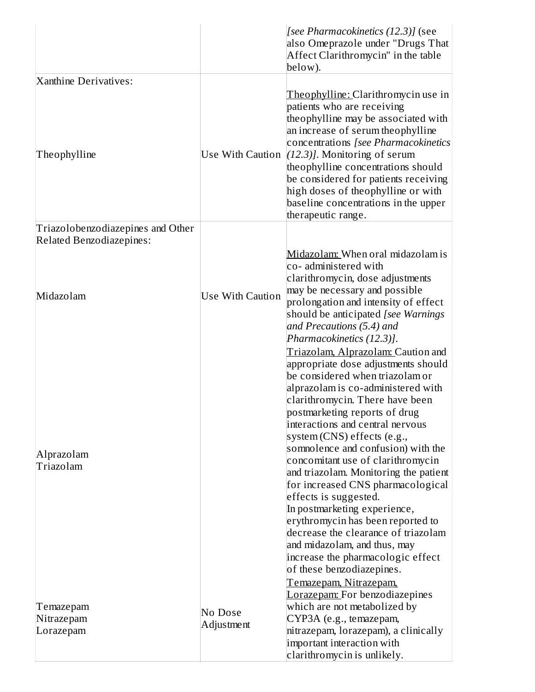|                                      |                         | [see Pharmacokinetics (12.3)] (see<br>also Omeprazole under "Drugs That<br>Affect Clarithromycin" in the table<br>below).                                                                                                                                                                                                                                                                                                   |
|--------------------------------------|-------------------------|-----------------------------------------------------------------------------------------------------------------------------------------------------------------------------------------------------------------------------------------------------------------------------------------------------------------------------------------------------------------------------------------------------------------------------|
| Xanthine Derivatives:                |                         |                                                                                                                                                                                                                                                                                                                                                                                                                             |
| Theophylline                         |                         | Theophylline: Clarithromycin use in<br>patients who are receiving<br>theophylline may be associated with<br>an increase of serum theophylline<br>concentrations [see Pharmacokinetics<br>Use With Caution $(12.3)$ ]. Monitoring of serum<br>theophylline concentrations should<br>be considered for patients receiving<br>high doses of theophylline or with<br>baseline concentrations in the upper<br>therapeutic range. |
| Triazolobenzodiazepines and Other    |                         |                                                                                                                                                                                                                                                                                                                                                                                                                             |
| <b>Related Benzodiazepines:</b>      |                         |                                                                                                                                                                                                                                                                                                                                                                                                                             |
|                                      |                         | Midazolam: When oral midazolam is<br>co- administered with<br>clarithromycin, dose adjustments<br>may be necessary and possible                                                                                                                                                                                                                                                                                             |
| Midazolam                            | <b>Use With Caution</b> | prolongation and intensity of effect<br>should be anticipated [see Warnings]<br>and Precautions (5.4) and<br>Pharmacokinetics (12.3)].                                                                                                                                                                                                                                                                                      |
| Alprazolam<br>Triazolam              |                         | Triazolam, Alprazolam: Caution and<br>appropriate dose adjustments should<br>be considered when triazolam or<br>alprazolam is co-administered with<br>clarithromycin. There have been<br>postmarketing reports of drug<br>interactions and central nervous<br>system (CNS) effects (e.g.,<br>somnolence and confusion) with the<br>concomitant use of clarithromycin                                                        |
|                                      |                         | and triazolam. Monitoring the patient<br>for increased CNS pharmacological<br>effects is suggested.<br>In postmarketing experience,<br>erythromycin has been reported to<br>decrease the clearance of triazolam<br>and midazolam, and thus, may<br>increase the pharmacologic effect<br>of these benzodiazepines.<br>Temazepam, Nitrazepam,<br>Lorazepam: For benzodiazepines                                               |
| Temazepam<br>Nitrazepam<br>Lorazepam | No Dose<br>Adjustment   | which are not metabolized by<br>CYP3A (e.g., temazepam,<br>nitrazepam, lorazepam), a clinically<br>important interaction with<br>clarithromycin is unlikely.                                                                                                                                                                                                                                                                |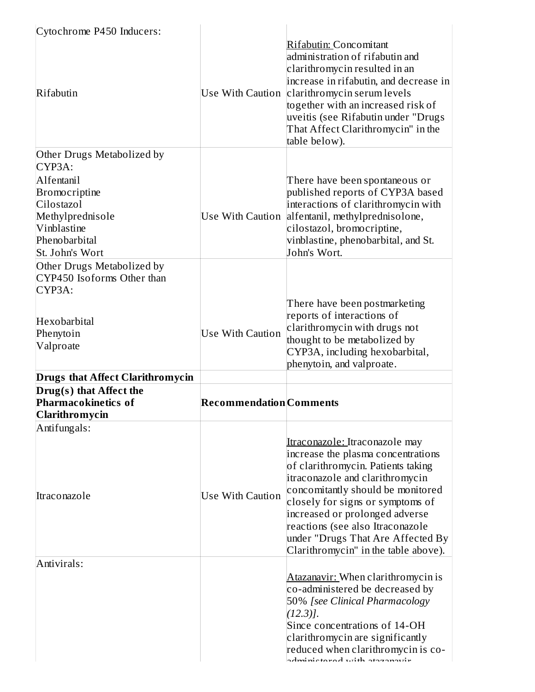| Cytochrome P450 Inducers:               |                                |                                                                                                                                                                                                                                                                                                         |
|-----------------------------------------|--------------------------------|---------------------------------------------------------------------------------------------------------------------------------------------------------------------------------------------------------------------------------------------------------------------------------------------------------|
| Rifabutin                               | Use With Caution               | Rifabutin: Concomitant<br>administration of rifabutin and<br>clarithromycin resulted in an<br>increase in rifabutin, and decrease in<br>clarithromycin serum levels<br>together with an increased risk of<br>uveitis (see Rifabutin under "Drugs<br>That Affect Clarithromycin" in the<br>table below). |
| Other Drugs Metabolized by              |                                |                                                                                                                                                                                                                                                                                                         |
| CYP3A:                                  |                                |                                                                                                                                                                                                                                                                                                         |
| Alfentanil                              |                                | There have been spontaneous or                                                                                                                                                                                                                                                                          |
| Bromocriptine                           |                                | published reports of CYP3A based                                                                                                                                                                                                                                                                        |
| Cilostazol                              |                                | interactions of clarithromycin with                                                                                                                                                                                                                                                                     |
| Methylprednisole                        | Use With Caution               | alfentanil, methylprednisolone,                                                                                                                                                                                                                                                                         |
| Vinblastine                             |                                | cilostazol, bromocriptine,                                                                                                                                                                                                                                                                              |
| Phenobarbital                           |                                | vinblastine, phenobarbital, and St.                                                                                                                                                                                                                                                                     |
| St. John's Wort                         |                                | John's Wort.                                                                                                                                                                                                                                                                                            |
| Other Drugs Metabolized by              |                                |                                                                                                                                                                                                                                                                                                         |
| CYP450 Isoforms Other than              |                                |                                                                                                                                                                                                                                                                                                         |
| CYP3A:                                  |                                |                                                                                                                                                                                                                                                                                                         |
|                                         |                                | There have been postmarketing                                                                                                                                                                                                                                                                           |
| Hexobarbital                            |                                | reports of interactions of                                                                                                                                                                                                                                                                              |
| Phenytoin                               | <b>Use With Caution</b>        | clarithromycin with drugs not                                                                                                                                                                                                                                                                           |
| Valproate                               |                                | thought to be metabolized by                                                                                                                                                                                                                                                                            |
|                                         |                                | CYP3A, including hexobarbital,                                                                                                                                                                                                                                                                          |
|                                         |                                | phenytoin, and valproate.                                                                                                                                                                                                                                                                               |
| <b>Drugs that Affect Clarithromycin</b> |                                |                                                                                                                                                                                                                                                                                                         |
| Drug(s) that Affect the                 |                                |                                                                                                                                                                                                                                                                                                         |
| <b>Pharmacokinetics of</b>              | <b>Recommendation</b> Comments |                                                                                                                                                                                                                                                                                                         |
| Clarithromycin                          |                                |                                                                                                                                                                                                                                                                                                         |
| Antifungals:                            |                                |                                                                                                                                                                                                                                                                                                         |
|                                         |                                | Itraconazole: Itraconazole may                                                                                                                                                                                                                                                                          |
|                                         |                                | increase the plasma concentrations                                                                                                                                                                                                                                                                      |
|                                         |                                | of clarithromycin. Patients taking                                                                                                                                                                                                                                                                      |
|                                         |                                | itraconazole and clarithromycin                                                                                                                                                                                                                                                                         |
| Itraconazole                            | <b>Use With Caution</b>        | concomitantly should be monitored                                                                                                                                                                                                                                                                       |
|                                         |                                | closely for signs or symptoms of                                                                                                                                                                                                                                                                        |
|                                         |                                | increased or prolonged adverse                                                                                                                                                                                                                                                                          |
|                                         |                                | reactions (see also Itraconazole                                                                                                                                                                                                                                                                        |
|                                         |                                | under "Drugs That Are Affected By<br>Clarithromycin" in the table above).                                                                                                                                                                                                                               |
|                                         |                                |                                                                                                                                                                                                                                                                                                         |
| Antivirals:                             |                                |                                                                                                                                                                                                                                                                                                         |
|                                         |                                | Atazanavir: When clarithromycin is                                                                                                                                                                                                                                                                      |
|                                         |                                | co-administered be decreased by                                                                                                                                                                                                                                                                         |
|                                         |                                | 50% [see Clinical Pharmacology                                                                                                                                                                                                                                                                          |
|                                         |                                | $(12.3)$ ].                                                                                                                                                                                                                                                                                             |
|                                         |                                | Since concentrations of 14-OH                                                                                                                                                                                                                                                                           |
|                                         |                                | clarithromycin are significantly<br>reduced when clarithromycin is co-                                                                                                                                                                                                                                  |
|                                         |                                | dministered altist harannardr                                                                                                                                                                                                                                                                           |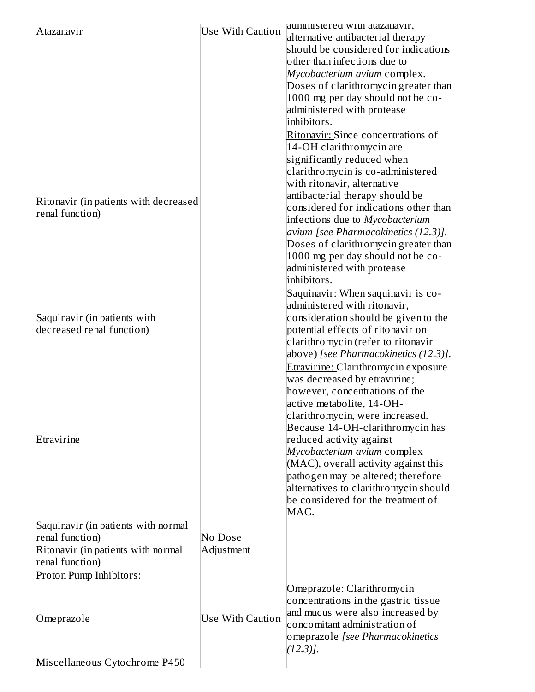|                                       |         |            |                         | duninistered with dtdzdidvir,              |
|---------------------------------------|---------|------------|-------------------------|--------------------------------------------|
| Atazanavir                            |         |            | <b>Use With Caution</b> | alternative antibacterial therapy          |
|                                       |         |            |                         | should be considered for indications       |
|                                       |         |            |                         | other than infections due to               |
|                                       |         |            |                         | Mycobacterium avium complex.               |
|                                       |         |            |                         | Doses of clarithromycin greater than       |
|                                       |         |            |                         | 1000 mg per day should not be co-          |
|                                       |         |            |                         | administered with protease                 |
|                                       |         |            |                         | inhibitors.                                |
|                                       |         |            |                         | Ritonavir: Since concentrations of         |
|                                       |         |            |                         |                                            |
|                                       |         |            |                         | 14-OH clarithromycin are                   |
|                                       |         |            |                         | significantly reduced when                 |
|                                       |         |            |                         | clarithromycin is co-administered          |
|                                       |         |            |                         | with ritonavir, alternative                |
| Ritonavir (in patients with decreased |         |            |                         | antibacterial therapy should be            |
| renal function)                       |         |            |                         | considered for indications other than      |
|                                       |         |            |                         | infections due to Mycobacterium            |
|                                       |         |            |                         | avium [see Pharmacokinetics (12.3)].       |
|                                       |         |            |                         | Doses of clarithromycin greater than       |
|                                       |         |            |                         | 1000 mg per day should not be co-          |
|                                       |         |            |                         | administered with protease                 |
|                                       |         |            |                         | inhibitors.                                |
|                                       |         |            |                         | Saquinavir: When saquinavir is co-         |
|                                       |         |            |                         | administered with ritonavir,               |
| Saquinavir (in patients with          |         |            |                         | consideration should be given to the       |
| decreased renal function)             |         |            |                         | potential effects of ritonavir on          |
|                                       |         |            |                         | clarithromycin (refer to ritonavir         |
|                                       |         |            |                         | above) [see Pharmacokinetics (12.3)].      |
|                                       |         |            |                         | <b>Etravirine: Clarithromycin exposure</b> |
|                                       |         |            |                         | was decreased by etravirine;               |
|                                       |         |            |                         | however, concentrations of the             |
|                                       |         |            |                         | active metabolite, 14-OH-                  |
|                                       |         |            |                         | clarithromycin, were increased.            |
|                                       |         |            |                         | Because 14-OH-clarithromycin has           |
| Etravirine                            |         |            |                         | reduced activity against                   |
|                                       |         |            |                         | Mycobacterium avium complex                |
|                                       |         |            |                         | (MAC), overall activity against this       |
|                                       |         |            |                         | pathogen may be altered; therefore         |
|                                       |         |            |                         | alternatives to clarithromycin should      |
|                                       |         |            |                         | be considered for the treatment of         |
|                                       |         |            |                         | MAC.                                       |
| Saquinavir (in patients with normal   |         |            |                         |                                            |
| renal function)                       | No Dose |            |                         |                                            |
| Ritonavir (in patients with normal    |         | Adjustment |                         |                                            |
| renal function)                       |         |            |                         |                                            |
| Proton Pump Inhibitors:               |         |            |                         |                                            |
|                                       |         |            |                         | Omeprazole: Clarithromycin                 |
|                                       |         |            |                         | concentrations in the gastric tissue       |
| Omeprazole                            |         |            | <b>Use With Caution</b> | and mucus were also increased by           |
|                                       |         |            |                         | concomitant administration of              |
|                                       |         |            |                         | omeprazole [see Pharmacokinetics           |
|                                       |         |            |                         | $(12.3)$ ].                                |
| Miscellaneous Cytochrome P450         |         |            |                         |                                            |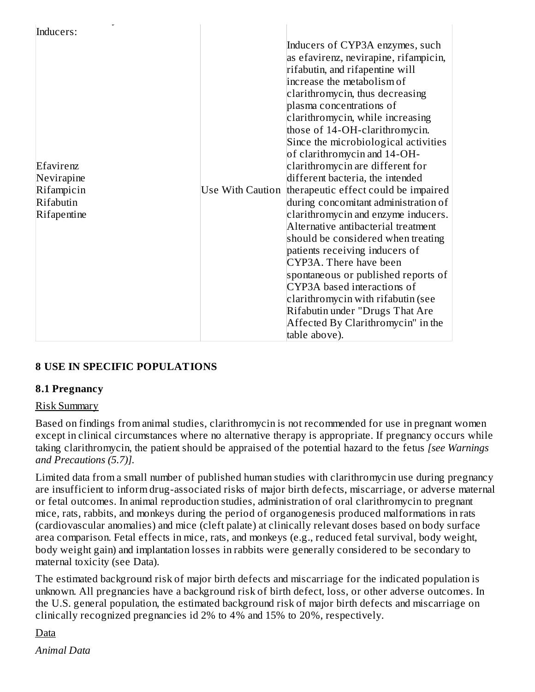| Inducers:                                                         |                                                                                                                                                                                                                                                                                                                                                                                                                                                                                                                                                                                                                                                                                                                                                                                                                                                                                                      |
|-------------------------------------------------------------------|------------------------------------------------------------------------------------------------------------------------------------------------------------------------------------------------------------------------------------------------------------------------------------------------------------------------------------------------------------------------------------------------------------------------------------------------------------------------------------------------------------------------------------------------------------------------------------------------------------------------------------------------------------------------------------------------------------------------------------------------------------------------------------------------------------------------------------------------------------------------------------------------------|
| Efavirenz<br>Nevirapine<br>Rifampicin<br>Rifabutin<br>Rifapentine | Inducers of CYP3A enzymes, such<br>as efavirenz, nevirapine, rifampicin,<br>rifabutin, and rifapentine will<br>increase the metabolism of<br>clarithromycin, thus decreasing<br>plasma concentrations of<br>clarithromycin, while increasing<br>those of 14-OH-clarithromycin.<br>Since the microbiological activities<br>of clarithromycin and 14-OH-<br>clarithromycin are different for<br>different bacteria, the intended<br>Use With Caution therapeutic effect could be impaired<br>during concomitant administration of<br>clarithromycin and enzyme inducers.<br>Alternative antibacterial treatment<br>should be considered when treating<br>patients receiving inducers of<br>CYP3A. There have been<br>spontaneous or published reports of<br>CYP3A based interactions of<br>clarithromycin with rifabutin (see<br>Rifabutin under "Drugs That Are<br>Affected By Clarithromycin" in the |
|                                                                   | table above).                                                                                                                                                                                                                                                                                                                                                                                                                                                                                                                                                                                                                                                                                                                                                                                                                                                                                        |

# **8 USE IN SPECIFIC POPULATIONS**

#### **8.1 Pregnancy**

#### Risk Summary

Based on findings from animal studies, clarithromycin is not recommended for use in pregnant women except in clinical circumstances where no alternative therapy is appropriate. If pregnancy occurs while taking clarithromycin, the patient should be appraised of the potential hazard to the fetus *[see Warnings and Precautions (5.7)].*

Limited data from a small number of published human studies with clarithromycin use during pregnancy are insufficient to inform drug-associated risks of major birth defects, miscarriage, or adverse maternal or fetal outcomes. In animal reproduction studies, administration of oral clarithromycin to pregnant mice, rats, rabbits, and monkeys during the period of organogenesis produced malformations in rats (cardiovascular anomalies) and mice (cleft palate) at clinically relevant doses based on body surface area comparison. Fetal effects in mice, rats, and monkeys (e.g., reduced fetal survival, body weight, body weight gain) and implantation losses in rabbits were generally considered to be secondary to maternal toxicity (see Data).

The estimated background risk of major birth defects and miscarriage for the indicated population is unknown. All pregnancies have a background risk of birth defect, loss, or other adverse outcomes. In the U.S. general population, the estimated background risk of major birth defects and miscarriage on clinically recognized pregnancies id 2% to 4% and 15% to 20%, respectively.

### Data

*Animal Data*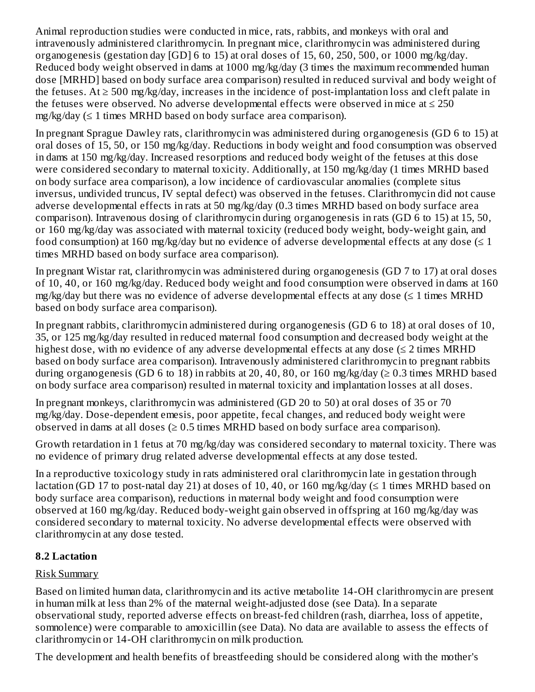Animal reproduction studies were conducted in mice, rats, rabbits, and monkeys with oral and intravenously administered clarithromycin. In pregnant mice, clarithromycin was administered during organogenesis (gestation day [GD] 6 to 15) at oral doses of 15, 60, 250, 500, or 1000 mg/kg/day. Reduced body weight observed in dams at 1000 mg/kg/day (3 times the maximum recommended human dose [MRHD] based on body surface area comparison) resulted in reduced survival and body weight of the fetuses. At  $\geq$  500 mg/kg/day, increases in the incidence of post-implantation loss and cleft palate in the fetuses were observed. No adverse developmental effects were observed in mice at ≤ 250 mg/kg/day (≤ 1 times MRHD based on body surface area comparison).

In pregnant Sprague Dawley rats, clarithromycin was administered during organogenesis (GD 6 to 15) at oral doses of 15, 50, or 150 mg/kg/day. Reductions in body weight and food consumption was observed in dams at 150 mg/kg/day. Increased resorptions and reduced body weight of the fetuses at this dose were considered secondary to maternal toxicity. Additionally, at 150 mg/kg/day (1 times MRHD based on body surface area comparison), a low incidence of cardiovascular anomalies (complete situs inversus, undivided truncus, IV septal defect) was observed in the fetuses. Clarithromycin did not cause adverse developmental effects in rats at 50 mg/kg/day (0.3 times MRHD based on body surface area comparison). Intravenous dosing of clarithromycin during organogenesis in rats (GD 6 to 15) at 15, 50, or 160 mg/kg/day was associated with maternal toxicity (reduced body weight, body-weight gain, and food consumption) at 160 mg/kg/day but no evidence of adverse developmental effects at any dose  $(\leq 1)$ times MRHD based on body surface area comparison).

In pregnant Wistar rat, clarithromycin was administered during organogenesis (GD 7 to 17) at oral doses of 10, 40, or 160 mg/kg/day. Reduced body weight and food consumption were observed in dams at 160 mg/kg/day but there was no evidence of adverse developmental effects at any dose  $(\leq 1)$  times MRHD based on body surface area comparison).

In pregnant rabbits, clarithromycin administered during organogenesis (GD 6 to 18) at oral doses of 10, 35, or 125 mg/kg/day resulted in reduced maternal food consumption and decreased body weight at the highest dose, with no evidence of any adverse developmental effects at any dose  $(\leq 2)$  times MRHD based on body surface area comparison). Intravenously administered clarithromycin to pregnant rabbits during organogenesis (GD 6 to 18) in rabbits at 20, 40, 80, or 160 mg/kg/day ( $\geq 0.3$  times MRHD based on body surface area comparison) resulted in maternal toxicity and implantation losses at all doses.

In pregnant monkeys, clarithromycin was administered (GD 20 to 50) at oral doses of 35 or 70 mg/kg/day. Dose-dependent emesis, poor appetite, fecal changes, and reduced body weight were observed in dams at all doses  $(\geq 0.5$  times MRHD based on body surface area comparison).

Growth retardation in 1 fetus at 70 mg/kg/day was considered secondary to maternal toxicity. There was no evidence of primary drug related adverse developmental effects at any dose tested.

In a reproductive toxicology study in rats administered oral clarithromycin late in gestation through lactation (GD 17 to post-natal day 21) at doses of 10, 40, or 160 mg/kg/day ( $\leq$  1 times MRHD based on body surface area comparison), reductions in maternal body weight and food consumption were observed at 160 mg/kg/day. Reduced body-weight gain observed in offspring at 160 mg/kg/day was considered secondary to maternal toxicity. No adverse developmental effects were observed with clarithromycin at any dose tested.

# **8.2 Lactation**

# Risk Summary

Based on limited human data, clarithromycin and its active metabolite 14-OH clarithromycin are present in human milk at less than 2% of the maternal weight-adjusted dose (see Data). In a separate observational study, reported adverse effects on breast-fed children (rash, diarrhea, loss of appetite, somnolence) were comparable to amoxicillin (see Data). No data are available to assess the effects of clarithromycin or 14-OH clarithromycin on milk production.

The development and health benefits of breastfeeding should be considered along with the mother's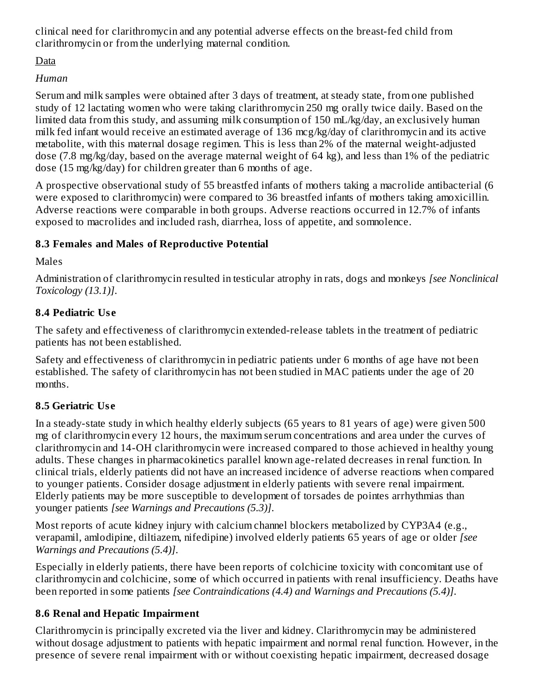clinical need for clarithromycin and any potential adverse effects on the breast-fed child from clarithromycin or from the underlying maternal condition.

Data

# *Human*

Serum and milk samples were obtained after 3 days of treatment, at steady state, from one published study of 12 lactating women who were taking clarithromycin 250 mg orally twice daily. Based on the limited data from this study, and assuming milk consumption of 150 mL/kg/day, an exclusively human milk fed infant would receive an estimated average of 136 mcg/kg/day of clarithromycin and its active metabolite, with this maternal dosage regimen. This is less than 2% of the maternal weight-adjusted dose (7.8 mg/kg/day, based on the average maternal weight of 64 kg), and less than 1% of the pediatric dose (15 mg/kg/day) for children greater than 6 months of age.

A prospective observational study of 55 breastfed infants of mothers taking a macrolide antibacterial (6 were exposed to clarithromycin) were compared to 36 breastfed infants of mothers taking amoxicillin. Adverse reactions were comparable in both groups. Adverse reactions occurred in 12.7% of infants exposed to macrolides and included rash, diarrhea, loss of appetite, and somnolence.

# **8.3 Females and Males of Reproductive Potential**

Males

Administration of clarithromycin resulted in testicular atrophy in rats, dogs and monkeys *[see Nonclinical Toxicology (13.1)]*.

# **8.4 Pediatric Us e**

The safety and effectiveness of clarithromycin extended-release tablets in the treatment of pediatric patients has not been established.

Safety and effectiveness of clarithromycin in pediatric patients under 6 months of age have not been established. The safety of clarithromycin has not been studied in MAC patients under the age of 20 months.

# **8.5 Geriatric Us e**

In a steady-state study in which healthy elderly subjects (65 years to 81 years of age) were given 500 mg of clarithromycin every 12 hours, the maximum serum concentrations and area under the curves of clarithromycin and 14-OH clarithromycin were increased compared to those achieved in healthy young adults. These changes in pharmacokinetics parallel known age-related decreases in renal function. In clinical trials, elderly patients did not have an increased incidence of adverse reactions when compared to younger patients. Consider dosage adjustment in elderly patients with severe renal impairment. Elderly patients may be more susceptible to development of torsades de pointes arrhythmias than younger patients *[see Warnings and Precautions (5.3)]*.

Most reports of acute kidney injury with calcium channel blockers metabolized by CYP3A4 (e.g., verapamil, amlodipine, diltiazem, nifedipine) involved elderly patients 65 years of age or older *[see Warnings and Precautions (5.4)]*.

Especially in elderly patients, there have been reports of colchicine toxicity with concomitant use of clarithromycin and colchicine, some of which occurred in patients with renal insufficiency. Deaths have been reported in some patients *[see Contraindications (4.4) and Warnings and Precautions (5.4)]*.

# **8.6 Renal and Hepatic Impairment**

Clarithromycin is principally excreted via the liver and kidney. Clarithromycin may be administered without dosage adjustment to patients with hepatic impairment and normal renal function. However, in the presence of severe renal impairment with or without coexisting hepatic impairment, decreased dosage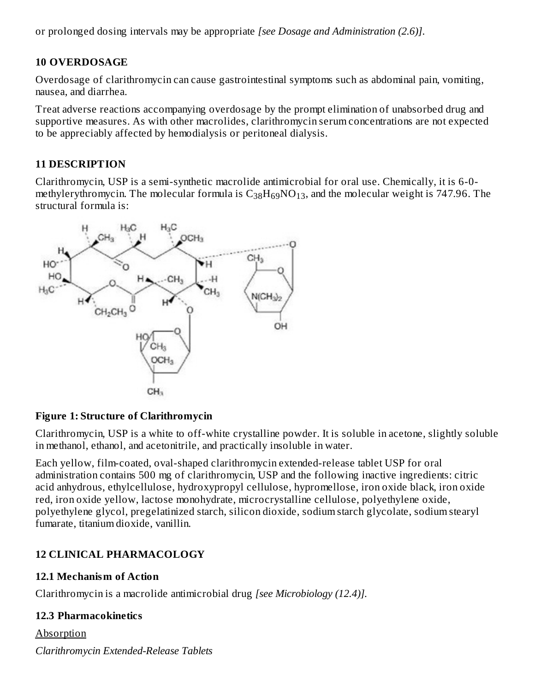or prolonged dosing intervals may be appropriate *[see Dosage and Administration (2.6)]*.

### **10 OVERDOSAGE**

Overdosage of clarithromycin can cause gastrointestinal symptoms such as abdominal pain, vomiting, nausea, and diarrhea.

Treat adverse reactions accompanying overdosage by the prompt elimination of unabsorbed drug and supportive measures. As with other macrolides, clarithromycin serum concentrations are not expected to be appreciably affected by hemodialysis or peritoneal dialysis.

### **11 DESCRIPTION**

Clarithromycin, USP is a semi-synthetic macrolide antimicrobial for oral use. Chemically, it is 6-0 methylerythromycin. The molecular formula is  $\rm{C_{38}H_{69}NO_{13}}$ , and the molecular weight is 747.96. The structural formula is:



### **Figure 1: Structure of Clarithromycin**

Clarithromycin, USP is a white to off-white crystalline powder. It is soluble in acetone, slightly soluble in methanol, ethanol, and acetonitrile, and practically insoluble in water.

Each yellow, film-coated, oval-shaped clarithromycin extended-release tablet USP for oral administration contains 500 mg of clarithromycin, USP and the following inactive ingredients: citric acid anhydrous, ethylcellulose, hydroxypropyl cellulose, hypromellose, iron oxide black, iron oxide red, iron oxide yellow, lactose monohydrate, microcrystalline cellulose, polyethylene oxide, polyethylene glycol, pregelatinized starch, silicon dioxide, sodium starch glycolate, sodium stearyl fumarate, titanium dioxide, vanillin.

# **12 CLINICAL PHARMACOLOGY**

### **12.1 Mechanism of Action**

Clarithromycin is a macrolide antimicrobial drug *[see Microbiology (12.4)].*

### **12.3 Pharmacokinetics**

**Absorption** *Clarithromycin Extended-Release Tablets*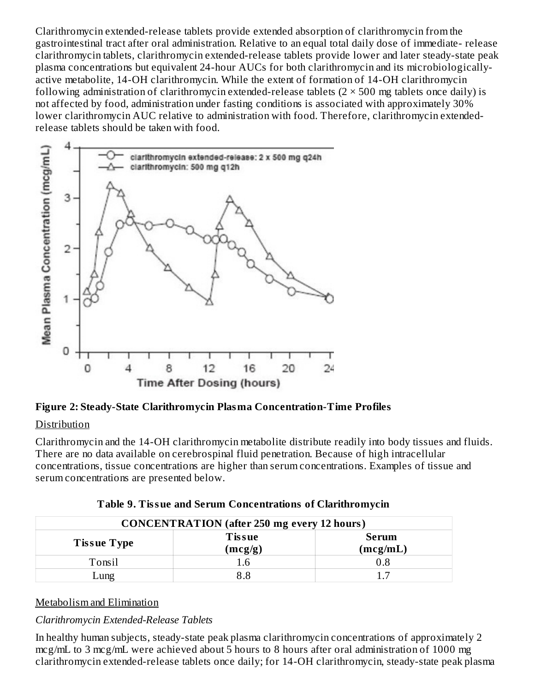Clarithromycin extended-release tablets provide extended absorption of clarithromycin from the gastrointestinal tract after oral administration. Relative to an equal total daily dose of immediate- release clarithromycin tablets, clarithromycin extended-release tablets provide lower and later steady-state peak plasma concentrations but equivalent 24-hour AUCs for both clarithromycin and its microbiologicallyactive metabolite, 14-OH clarithromycin. While the extent of formation of 14-OH clarithromycin following administration of clarithromycin extended-release tablets  $(2 \times 500$  mg tablets once daily) is not affected by food, administration under fasting conditions is associated with approximately 30% lower clarithromycin AUC relative to administration with food. Therefore, clarithromycin extendedrelease tablets should be taken with food.



**Figure 2: Steady-State Clarithromycin Plasma Concentration-Time Profiles**

# **Distribution**

Clarithromycin and the 14-OH clarithromycin metabolite distribute readily into body tissues and fluids. There are no data available on cerebrospinal fluid penetration. Because of high intracellular concentrations, tissue concentrations are higher than serum concentrations. Examples of tissue and serum concentrations are presented below.

| <b>CONCENTRATION</b> (after 250 mg every 12 hours) |                          |                   |  |
|----------------------------------------------------|--------------------------|-------------------|--|
| <b>Tissue Type</b>                                 | <b>Tissue</b><br>(mcg/g) | Serum<br>(mcg/mL) |  |
| Tonsil                                             | .6                       | 8.0               |  |
| ⊥ung                                               |                          |                   |  |

**Table 9. Tissue and Serum Concentrations of Clarithromycin**

### Metabolism and Elimination

# *Clarithromycin Extended-Release Tablets*

In healthy human subjects, steady-state peak plasma clarithromycin concentrations of approximately 2 mcg/mL to 3 mcg/mL were achieved about 5 hours to 8 hours after oral administration of 1000 mg clarithromycin extended-release tablets once daily; for 14-OH clarithromycin, steady-state peak plasma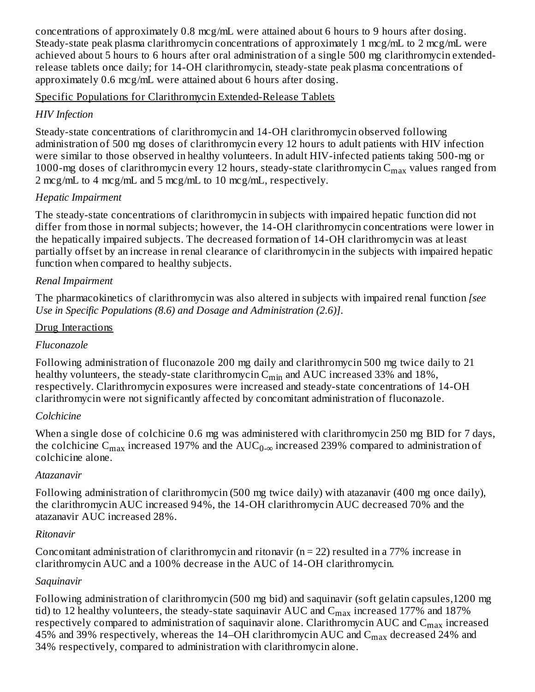concentrations of approximately 0.8 mcg/mL were attained about 6 hours to 9 hours after dosing. Steady-state peak plasma clarithromycin concentrations of approximately 1 mcg/mL to 2 mcg/mL were achieved about 5 hours to 6 hours after oral administration of a single 500 mg clarithromycin extendedrelease tablets once daily; for 14-OH clarithromycin, steady-state peak plasma concentrations of approximately 0.6 mcg/mL were attained about 6 hours after dosing.

### Specific Populations for Clarithromycin Extended-Release Tablets

### *HIV Infection*

Steady-state concentrations of clarithromycin and 14-OH clarithromycin observed following administration of 500 mg doses of clarithromycin every 12 hours to adult patients with HIV infection were similar to those observed in healthy volunteers. In adult HIV-infected patients taking 500-mg or 1000-mg doses of clarithromycin every 12 hours, steady-state clarithromycin  $\rm{C_{max}}$  values ranged from 2 mcg/mL to 4 mcg/mL and 5 mcg/mL to 10 mcg/mL, respectively.

# *Hepatic Impairment*

The steady-state concentrations of clarithromycin in subjects with impaired hepatic function did not differ from those in normal subjects; however, the 14-OH clarithromycin concentrations were lower in the hepatically impaired subjects. The decreased formation of 14-OH clarithromycin was at least partially offset by an increase in renal clearance of clarithromycin in the subjects with impaired hepatic function when compared to healthy subjects.

### *Renal Impairment*

The pharmacokinetics of clarithromycin was also altered in subjects with impaired renal function *[see Use in Specific Populations (8.6) and Dosage and Administration (2.6)]*.

### Drug Interactions

### *Fluconazole*

Following administration of fluconazole 200 mg daily and clarithromycin 500 mg twice daily to 21 healthy volunteers, the steady-state clarithromycin  $\mathsf{C}_{\min}$  and  $\mathrm{AUC}$  increased 33% and 18%, respectively. Clarithromycin exposures were increased and steady-state concentrations of 14-OH clarithromycin were not significantly affected by concomitant administration of fluconazole.

# *Colchicine*

When a single dose of colchicine 0.6 mg was administered with clarithromycin 250 mg BID for 7 days, the colchicine  $\rm{C_{max}}$  increased 197% and the  $\rm{AUC_{0-\infty}}$  increased 239% compared to administration of colchicine alone.

# *Atazanavir*

Following administration of clarithromycin (500 mg twice daily) with atazanavir (400 mg once daily), the clarithromycin AUC increased 94%, the 14-OH clarithromycin AUC decreased 70% and the atazanavir AUC increased 28%.

### *Ritonavir*

Concomitant administration of clarithromycin and ritonavir ( $n = 22$ ) resulted in a 77% increase in clarithromycin AUC and a 100% decrease in the AUC of 14-OH clarithromycin.

# *Saquinavir*

Following administration of clarithromycin (500 mg bid) and saquinavir (soft gelatin capsules,1200 mg tid) to 12 healthy volunteers, the steady-state saquinavir AUC and  $\rm{C_{max}}$  increased 177% and 187% respectively compared to administration of saquinavir alone. Clarithromycin AUC and  $\mathsf{C}_{\max}$  increased 45% and 39% respectively, whereas the 14–OH clarithromycin AUC and  $\rm C_{max}$  decreased 24% and 34% respectively, compared to administration with clarithromycin alone.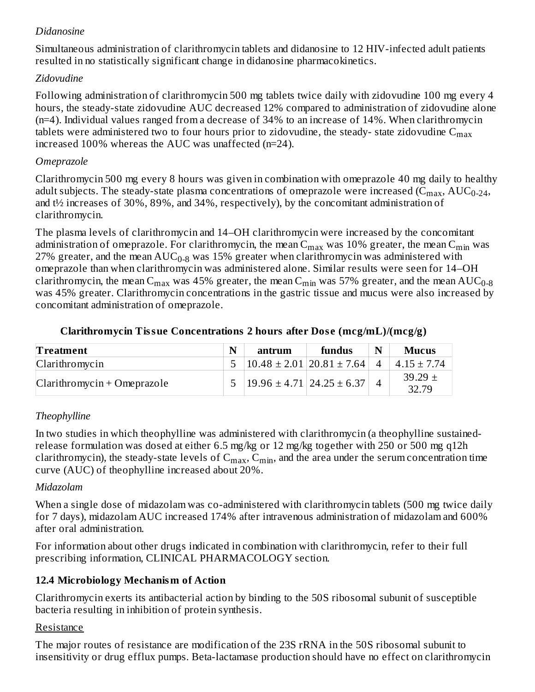# *Didanosine*

Simultaneous administration of clarithromycin tablets and didanosine to 12 HIV-infected adult patients resulted in no statistically significant change in didanosine pharmacokinetics.

### *Zidovudine*

Following administration of clarithromycin 500 mg tablets twice daily with zidovudine 100 mg every 4 hours, the steady-state zidovudine AUC decreased 12% compared to administration of zidovudine alone (n=4). Individual values ranged from a decrease of 34% to an increase of 14%. When clarithromycin tablets were administered two to four hours prior to zidovudine, the steady- state zidovudine  $\mathsf{C}_{\max}$ increased 100% whereas the AUC was unaffected (n=24).

### *Omeprazole*

Clarithromycin 500 mg every 8 hours was given in combination with omeprazole 40 mg daily to healthy adult subjects. The steady-state plasma concentrations of omeprazole were increased (C $_{\rm max}$ , AUC $_{\rm 0-24}$ , and t½ increases of 30%, 89%, and 34%, respectively), by the concomitant administration of clarithromycin.

The plasma levels of clarithromycin and 14–OH clarithromycin were increased by the concomitant administration of omeprazole. For clarithromycin, the mean  $\rm{C_{max}}$  was  $10\%$  greater, the mean  $\rm{C_{min}}$  was 27% greater, and the mean  $\mathrm{AUC_{0-8}}$  was 15% greater when clarithromycin was administered with omeprazole than when clarithromycin was administered alone. Similar results were seen for 14–OH clarithromycin, the mean C<sub>max</sub> was 45% greater, the mean C<sub>min</sub> was 57% greater, and the mean  $\rm AUC_{0.8}$ was 45% greater. Clarithromycin concentrations in the gastric tissue and mucus were also increased by concomitant administration of omeprazole.

| Treatment                     | N | antrum                                  | fundus | N | <b>Mucus</b>         |
|-------------------------------|---|-----------------------------------------|--------|---|----------------------|
| Clarithromycin                |   | $10.48 \pm 2.01$   20.81 $\pm$ 7.64     |        |   | $4.15 \pm 7.74$      |
| $Clarithromycin + Omeprazole$ |   | $5   19.96 \pm 4.71   24.25 \pm 6.37  $ |        |   | $39.29 \pm$<br>32.79 |

### **Clarithromycin Tissue Concentrations 2 hours after Dos e (mcg/mL)/(mcg/g)**

### *Theophylline*

In two studies in which theophylline was administered with clarithromycin (a theophylline sustainedrelease formulation was dosed at either 6.5 mg/kg or 12 mg/kg together with 250 or 500 mg q12h clarithromycin), the steady-state levels of  $C_{max}$ ,  $C_{min}$ , and the area under the serum concentration time curve (AUC) of theophylline increased about 20%.

### *Midazolam*

When a single dose of midazolam was co-administered with clarithromycin tablets (500 mg twice daily for 7 days), midazolam AUC increased 174% after intravenous administration of midazolam and 600% after oral administration.

For information about other drugs indicated in combination with clarithromycin, refer to their full prescribing information, CLINICAL PHARMACOLOGY section.

# **12.4 Microbiology Mechanism of Action**

Clarithromycin exerts its antibacterial action by binding to the 50S ribosomal subunit of susceptible bacteria resulting in inhibition of protein synthesis.

### Resistance

The major routes of resistance are modification of the 23S rRNA in the 50S ribosomal subunit to insensitivity or drug efflux pumps. Beta-lactamase production should have no effect on clarithromycin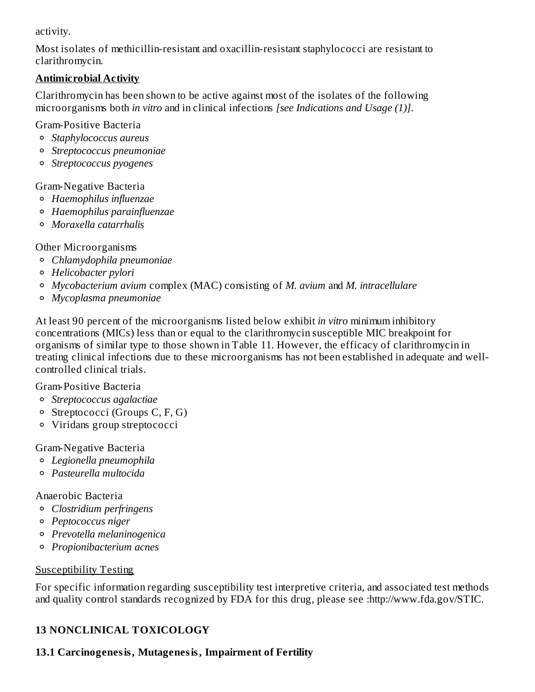activity.

Most isolates of methicillin-resistant and oxacillin-resistant staphylococci are resistant to clarithromycin.

# **Antimicrobial Activity**

Clarithromycin has been shown to be active against most of the isolates of the following microorganisms both *in vitro* and in clinical infections *[see Indications and Usage (1)]*.

Gram-Positive Bacteria

- *Staphylococcus aureus*
- *Streptococcus pneumoniae*
- *Streptococcus pyogenes*

# Gram-Negative Bacteria

- *Haemophilus influenzae*
- *Haemophilus parainfluenzae*
- *Moraxella catarrhalis*

Other Microorganisms

- *Chlamydophila pneumoniae*
- *Helicobacter pylori*
- *Mycobacterium avium* complex (MAC) consisting of *M. avium* and *M. intracellulare*
- *Mycoplasma pneumoniae*

At least 90 percent of the microorganisms listed below exhibit *in vitro* minimum inhibitory concentrations (MICs) less than or equal to the clarithromycin susceptible MIC breakpoint for organisms of similar type to those shown in Table 11. However, the efficacy of clarithromycin in treating clinical infections due to these microorganisms has not been established in adequate and wellcontrolled clinical trials.

# Gram-Positive Bacteria

- *Streptococcus agalactiae*
- Streptococci (Groups C, F, G)
- Viridans group streptococci

# Gram-Negative Bacteria

- *Legionella pneumophila*
- *Pasteurella multocida*

# Anaerobic Bacteria

- *Clostridium perfringens*
- *Peptococcus niger*
- *Prevotella melaninogenica*
- *Propionibacterium acnes*

# Susceptibility Testing

For specific information regarding susceptibility test interpretive criteria, and associated test methods and quality control standards recognized by FDA for this drug, please see :http://www.fda.gov/STIC.

# **13 NONCLINICAL TOXICOLOGY**

# **13.1 Carcinogenesis, Mutagenesis, Impairment of Fertility**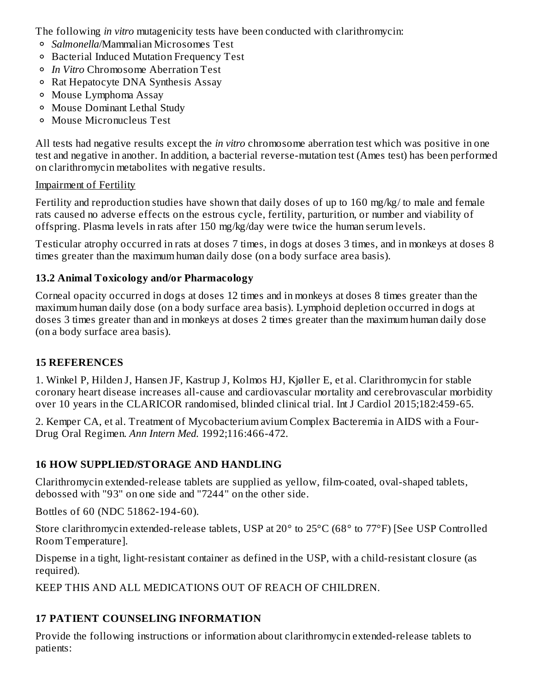The following *in vitro* mutagenicity tests have been conducted with clarithromycin:

- *Salmonella*/Mammalian Microsomes Test
- Bacterial Induced Mutation Frequency Test
- *In Vitro* Chromosome Aberration Test
- Rat Hepatocyte DNA Synthesis Assay
- Mouse Lymphoma Assay
- Mouse Dominant Lethal Study
- Mouse Micronucleus Test

All tests had negative results except the *in vitro* chromosome aberration test which was positive in one test and negative in another. In addition, a bacterial reverse-mutation test (Ames test) has been performed on clarithromycin metabolites with negative results.

# Impairment of Fertility

Fertility and reproduction studies have shown that daily doses of up to 160 mg/kg/ to male and female rats caused no adverse effects on the estrous cycle, fertility, parturition, or number and viability of offspring. Plasma levels in rats after 150 mg/kg/day were twice the human serum levels.

Testicular atrophy occurred in rats at doses 7 times, in dogs at doses 3 times, and in monkeys at doses 8 times greater than the maximum human daily dose (on a body surface area basis).

# **13.2 Animal Toxicology and/or Pharmacology**

Corneal opacity occurred in dogs at doses 12 times and in monkeys at doses 8 times greater than the maximum human daily dose (on a body surface area basis). Lymphoid depletion occurred in dogs at doses 3 times greater than and in monkeys at doses 2 times greater than the maximum human daily dose (on a body surface area basis).

# **15 REFERENCES**

1. Winkel P, Hilden J, Hansen JF, Kastrup J, Kolmos HJ, Kjøller E, et al. Clarithromycin for stable coronary heart disease increases all-cause and cardiovascular mortality and cerebrovascular morbidity over 10 years in the CLARICOR randomised, blinded clinical trial. Int J Cardiol 2015;182:459-65.

2. Kemper CA, et al. Treatment of Mycobacterium avium Complex Bacteremia in AIDS with a Four-Drug Oral Regimen. *Ann Intern Med.* 1992;116:466-472.

# **16 HOW SUPPLIED/STORAGE AND HANDLING**

Clarithromycin extended-release tablets are supplied as yellow, film-coated, oval-shaped tablets, debossed with "93" on one side and "7244" on the other side.

Bottles of 60 (NDC 51862-194-60).

Store clarithromycin extended-release tablets, USP at 20° to 25°C (68° to 77°F) [See USP Controlled Room Temperature].

Dispense in a tight, light-resistant container as defined in the USP, with a child-resistant closure (as required).

KEEP THIS AND ALL MEDICATIONS OUT OF REACH OF CHILDREN.

# **17 PATIENT COUNSELING INFORMATION**

Provide the following instructions or information about clarithromycin extended-release tablets to patients: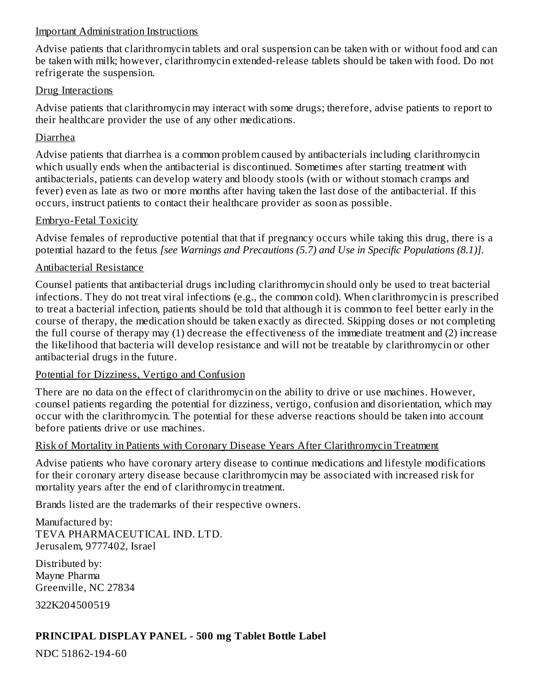#### Important Administration Instructions

Advise patients that clarithromycin tablets and oral suspension can be taken with or without food and can be taken with milk; however, clarithromycin extended-release tablets should be taken with food. Do not refrigerate the suspension.

#### Drug Interactions

Advise patients that clarithromycin may interact with some drugs; therefore, advise patients to report to their healthcare provider the use of any other medications.

### Diarrhea

Advise patients that diarrhea is a common problem caused by antibacterials including clarithromycin which usually ends when the antibacterial is discontinued. Sometimes after starting treatment with antibacterials, patients can develop watery and bloody stools (with or without stomach cramps and fever) even as late as two or more months after having taken the last dose of the antibacterial. If this occurs, instruct patients to contact their healthcare provider as soon as possible.

#### Embryo-Fetal Toxicity

Advise females of reproductive potential that that if pregnancy occurs while taking this drug, there is a potential hazard to the fetus *[see Warnings and Precautions (5.7) and Use in Specific Populations (8.1)]*.

### Antibacterial Resistance

Counsel patients that antibacterial drugs including clarithromycin should only be used to treat bacterial infections. They do not treat viral infections (e.g., the common cold). When clarithromycin is prescribed to treat a bacterial infection, patients should be told that although it is common to feel better early in the course of therapy, the medication should be taken exactly as directed. Skipping doses or not completing the full course of therapy may (1) decrease the effectiveness of the immediate treatment and (2) increase the likelihood that bacteria will develop resistance and will not be treatable by clarithromycin or other antibacterial drugs in the future.

### Potential for Dizziness, Vertigo and Confusion

There are no data on the effect of clarithromycin on the ability to drive or use machines. However, counsel patients regarding the potential for dizziness, vertigo, confusion and disorientation, which may occur with the clarithromycin. The potential for these adverse reactions should be taken into account before patients drive or use machines.

### Risk of Mortality in Patients with Coronary Disease Years After Clarithromycin Treatment

Advise patients who have coronary artery disease to continue medications and lifestyle modifications for their coronary artery disease because clarithromycin may be associated with increased risk for mortality years after the end of clarithromycin treatment.

Brands listed are the trademarks of their respective owners.

Manufactured by: TEVA PHARMACEUTICAL IND. LTD. Jerusalem, 9777402, Israel

Distributed by: Mayne Pharma Greenville, NC 27834

322K204500519

# **PRINCIPAL DISPLAY PANEL - 500 mg Tablet Bottle Label**

NDC 51862-194-60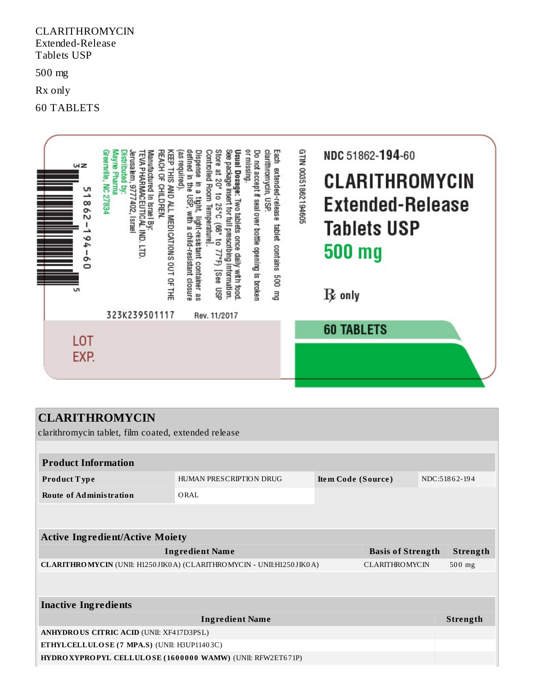#### CLARITHROMYCIN Extended-Release Tablets USP

500 mg

Rx only

60 TABLETS



clarithromycin tablet, film coated, extended release

| <b>Product Information</b>                                                                           |                                               |  |                          |  |                 |  |
|------------------------------------------------------------------------------------------------------|-----------------------------------------------|--|--------------------------|--|-----------------|--|
| Product Type                                                                                         | HUMAN PRESCRIPTION DRUG<br>Item Code (Source) |  |                          |  | NDC:51862-194   |  |
| <b>Route of Administration</b>                                                                       | ORAL                                          |  |                          |  |                 |  |
|                                                                                                      |                                               |  |                          |  |                 |  |
|                                                                                                      |                                               |  |                          |  |                 |  |
| <b>Active Ingredient/Active Moiety</b>                                                               |                                               |  |                          |  |                 |  |
| <b>Ingredient Name</b>                                                                               |                                               |  | <b>Basis of Strength</b> |  | Strength        |  |
| <b>CLARITHROMYCIN</b> (UNII: H1250JIK0A) (CLARITHROMYCIN - UNII:H1250JIK0A)<br><b>CLARITHROMYCIN</b> |                                               |  |                          |  | $500$ mg        |  |
|                                                                                                      |                                               |  |                          |  |                 |  |
|                                                                                                      |                                               |  |                          |  |                 |  |
| <b>Inactive Ingredients</b>                                                                          |                                               |  |                          |  |                 |  |
| <b>Ingredient Name</b>                                                                               |                                               |  |                          |  | <b>Strength</b> |  |
| <b>ANHYDROUS CITRIC ACID (UNII: XF417D3PSL)</b>                                                      |                                               |  |                          |  |                 |  |
| ETHYLCELLULOSE (7 MPA.S) (UNII: H3UP11403C)                                                          |                                               |  |                          |  |                 |  |
| <b>HYDRO XYPROPYL CELLULOSE (1600000 WAMW) (UNII: RFW2ET671P)</b>                                    |                                               |  |                          |  |                 |  |
|                                                                                                      |                                               |  |                          |  |                 |  |